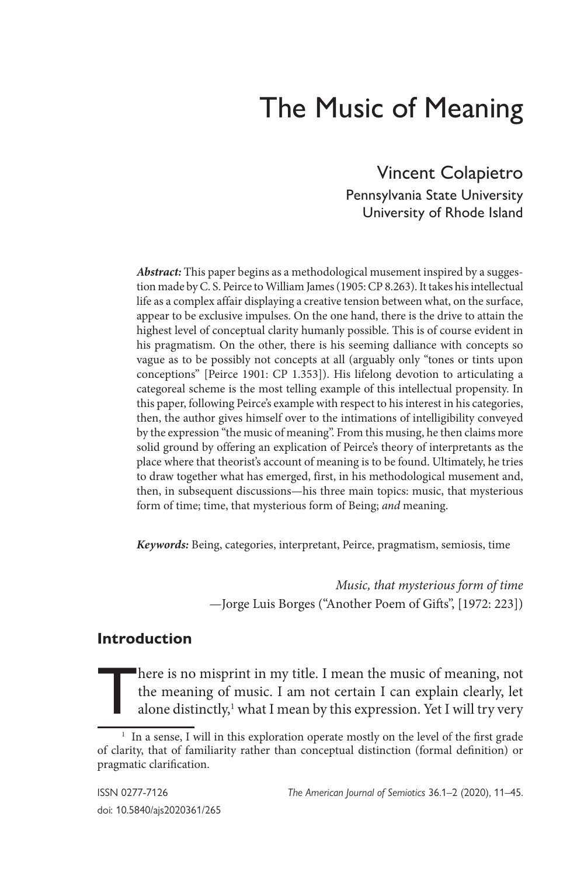# The Music of Meaning

Vincent Colapietro Pennsylvania State University University of Rhode Island

*Abstract:* This paper begins as a methodological musement inspired by a suggestion made by C. S. Peirce to William James (1905: CP 8.263). It takes his intellectual life as a complex affair displaying a creative tension between what, on the surface, appear to be exclusive impulses. On the one hand, there is the drive to attain the highest level of conceptual clarity humanly possible. This is of course evident in his pragmatism. On the other, there is his seeming dalliance with concepts so vague as to be possibly not concepts at all (arguably only "tones or tints upon conceptions" [Peirce 1901: CP 1.353]). His lifelong devotion to articulating a categoreal scheme is the most telling example of this intellectual propensity. In this paper, following Peirce's example with respect to his interest in his categories, then, the author gives himself over to the intimations of intelligibility conveyed by the expression "the music of meaning". From this musing, he then claims more solid ground by offering an explication of Peirce's theory of interpretants as the place where that theorist's account of meaning is to be found. Ultimately, he tries to draw together what has emerged, first, in his methodological musement and, then, in subsequent discussions—his three main topics: music, that mysterious form of time; time, that mysterious form of Being; *and* meaning.

*Keywords:* Being, categories, interpretant, Peirce, pragmatism, semiosis, time

*Music, that mysterious form of time* —Jorge Luis Borges ("Another Poem of Gifts", [1972: 223])

# **Introduction**

here is no misprint in my title. I mean the music of meaning, not the meaning of music. I am not certain I can explain clearly, let alone distinctly,<sup>1</sup> what I mean by this expression. Yet I will try very the meaning of music. I am not certain I can explain clearly, let alone distinctly,<sup>1</sup> what I mean by this expression. Yet I will try very

<sup>&</sup>lt;sup>1</sup> In a sense, I will in this exploration operate mostly on the level of the first grade of clarity, that of familiarity rather than conceptual distinction (formal definition) or pragmatic clarification.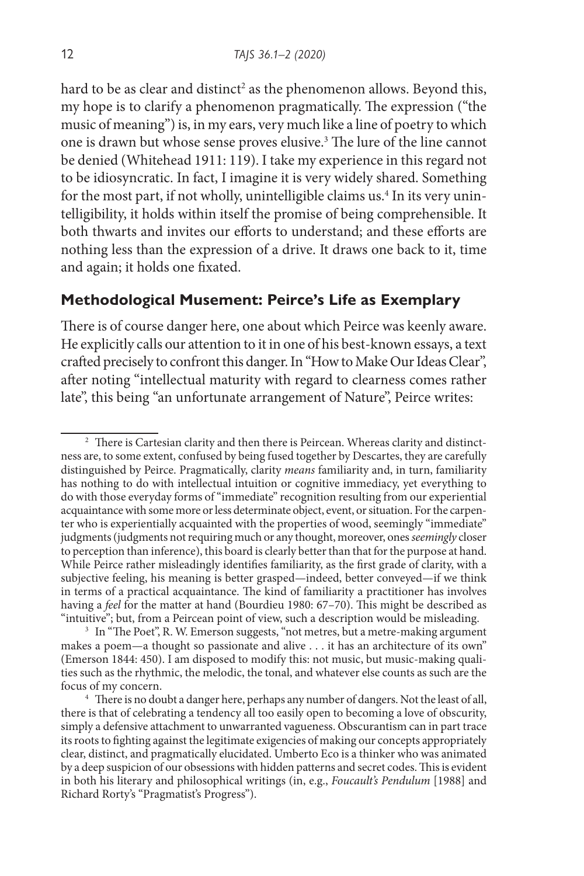hard to be as clear and distinct<sup>2</sup> as the phenomenon allows. Beyond this, my hope is to clarify a phenomenon pragmatically. The expression ("the music of meaning") is, in my ears, very much like a line of poetry to which one is drawn but whose sense proves elusive.<sup>3</sup> The lure of the line cannot be denied (Whitehead 1911: 119). I take my experience in this regard not to be idiosyncratic. In fact, I imagine it is very widely shared. Something for the most part, if not wholly, unintelligible claims us.<sup>4</sup> In its very unintelligibility, it holds within itself the promise of being comprehensible. It both thwarts and invites our efforts to understand; and these efforts are nothing less than the expression of a drive. It draws one back to it, time and again; it holds one fixated.

# **Methodological Musement: Peirce's Life as Exemplary**

There is of course danger here, one about which Peirce was keenly aware. He explicitly calls our attention to it in one of his best-known essays, a text crafted precisely to confront this danger. In "How to Make Our Ideas Clear", after noting "intellectual maturity with regard to clearness comes rather late", this being "an unfortunate arrangement of Nature", Peirce writes:

<sup>&</sup>lt;sup>2</sup> There is Cartesian clarity and then there is Peircean. Whereas clarity and distinctness are, to some extent, confused by being fused together by Descartes, they are carefully distinguished by Peirce. Pragmatically, clarity *means* familiarity and, in turn, familiarity has nothing to do with intellectual intuition or cognitive immediacy, yet everything to do with those everyday forms of "immediate" recognition resulting from our experiential acquaintance with some more or less determinate object, event, or situation. For the carpenter who is experientially acquainted with the properties of wood, seemingly "immediate" judgments (judgments not requiring much or any thought, moreover, ones *seemingly* closer to perception than inference), this board is clearly better than that for the purpose at hand. While Peirce rather misleadingly identifies familiarity, as the first grade of clarity, with a subjective feeling, his meaning is better grasped—indeed, better conveyed—if we think in terms of a practical acquaintance. The kind of familiarity a practitioner has involves having a *feel* for the matter at hand (Bourdieu 1980: 67–70). This might be described as "intuitive"; but, from a Peircean point of view, such a description would be misleading.

<sup>&</sup>lt;sup>3</sup> In "The Poet", R. W. Emerson suggests, "not metres, but a metre-making argument makes a poem—a thought so passionate and alive . . . it has an architecture of its own" (Emerson 1844: 450). I am disposed to modify this: not music, but music-making qualities such as the rhythmic, the melodic, the tonal, and whatever else counts as such are the focus of my concern.

<sup>&</sup>lt;sup>4</sup> There is no doubt a danger here, perhaps any number of dangers. Not the least of all, there is that of celebrating a tendency all too easily open to becoming a love of obscurity, simply a defensive attachment to unwarranted vagueness. Obscurantism can in part trace its roots to fighting against the legitimate exigencies of making our concepts appropriately clear, distinct, and pragmatically elucidated. Umberto Eco is a thinker who was animated by a deep suspicion of our obsessions with hidden patterns and secret codes. This is evident in both his literary and philosophical writings (in, e.g., *Foucault's Pendulum* [1988] and Richard Rorty's "Pragmatist's Progress").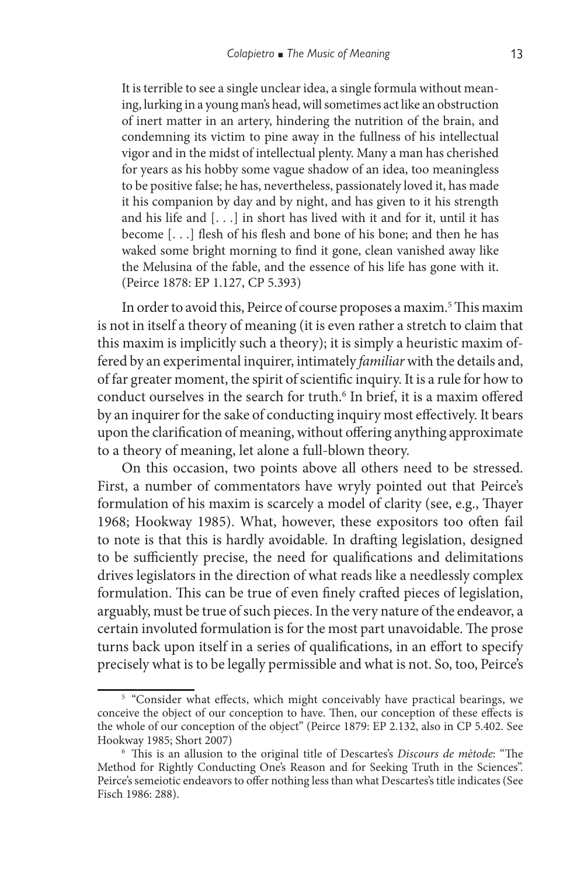It is terrible to see a single unclear idea, a single formula without meaning, lurking in a young man's head, will sometimes act like an obstruction of inert matter in an artery, hindering the nutrition of the brain, and condemning its victim to pine away in the fullness of his intellectual vigor and in the midst of intellectual plenty. Many a man has cherished for years as his hobby some vague shadow of an idea, too meaningless to be positive false; he has, nevertheless, passionately loved it, has made it his companion by day and by night, and has given to it his strength and his life and [. . .] in short has lived with it and for it, until it has become [. . .] flesh of his flesh and bone of his bone; and then he has waked some bright morning to find it gone, clean vanished away like the Melusina of the fable, and the essence of his life has gone with it. (Peirce 1878: EP 1.127, CP 5.393)

In order to avoid this, Peirce of course proposes a maxim.5 This maxim is not in itself a theory of meaning (it is even rather a stretch to claim that this maxim is implicitly such a theory); it is simply a heuristic maxim offered by an experimental inquirer, intimately *familiar* with the details and, of far greater moment, the spirit of scientific inquiry. It is a rule for how to conduct ourselves in the search for truth.<sup>6</sup> In brief, it is a maxim offered by an inquirer for the sake of conducting inquiry most effectively. It bears upon the clarification of meaning, without offering anything approximate to a theory of meaning, let alone a full-blown theory.

On this occasion, two points above all others need to be stressed. First, a number of commentators have wryly pointed out that Peirce's formulation of his maxim is scarcely a model of clarity (see, e.g., Thayer 1968; Hookway 1985). What, however, these expositors too often fail to note is that this is hardly avoidable. In drafting legislation, designed to be sufficiently precise, the need for qualifications and delimitations drives legislators in the direction of what reads like a needlessly complex formulation. This can be true of even finely crafted pieces of legislation, arguably, must be true of such pieces. In the very nature of the endeavor, a certain involuted formulation is for the most part unavoidable. The prose turns back upon itself in a series of qualifications, in an effort to specify precisely what is to be legally permissible and what is not. So, too, Peirce's

<sup>&</sup>lt;sup>5</sup> "Consider what effects, which might conceivably have practical bearings, we conceive the object of our conception to have. Then, our conception of these effects is the whole of our conception of the object" (Peirce 1879: EP 2.132, also in CP 5.402. See Hookway 1985; Short 2007) 6 This is an allusion to the original title of Descartes's *Discours de mètode*: "The

Method for Rightly Conducting One's Reason and for Seeking Truth in the Sciences". Peirce's semeiotic endeavors to offer nothing less than what Descartes's title indicates (See Fisch 1986: 288).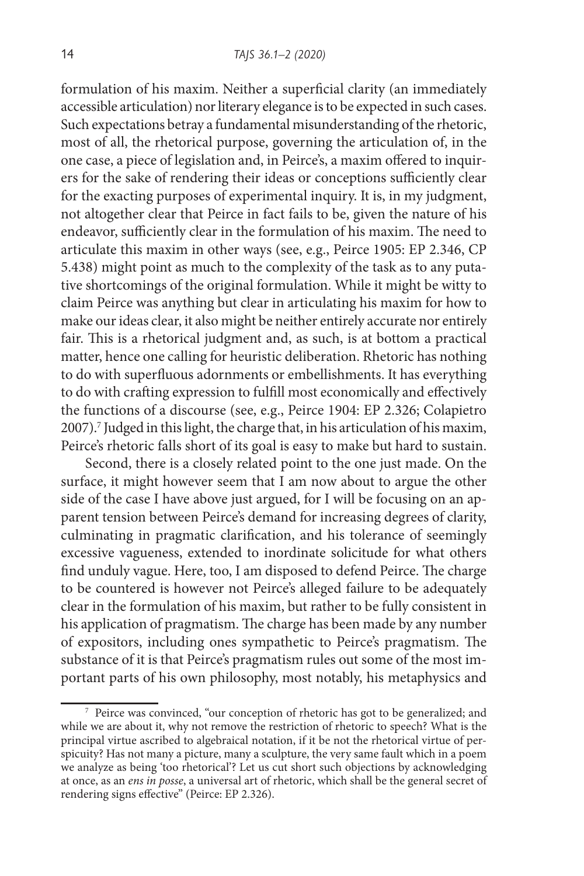formulation of his maxim. Neither a superficial clarity (an immediately accessible articulation) nor literary elegance is to be expected in such cases. Such expectations betray a fundamental misunderstanding of the rhetoric, most of all, the rhetorical purpose, governing the articulation of, in the one case, a piece of legislation and, in Peirce's, a maxim offered to inquirers for the sake of rendering their ideas or conceptions sufficiently clear for the exacting purposes of experimental inquiry. It is, in my judgment, not altogether clear that Peirce in fact fails to be, given the nature of his endeavor, sufficiently clear in the formulation of his maxim. The need to articulate this maxim in other ways (see, e.g., Peirce 1905: EP 2.346, CP 5.438) might point as much to the complexity of the task as to any putative shortcomings of the original formulation. While it might be witty to claim Peirce was anything but clear in articulating his maxim for how to make our ideas clear, it also might be neither entirely accurate nor entirely fair. This is a rhetorical judgment and, as such, is at bottom a practical matter, hence one calling for heuristic deliberation. Rhetoric has nothing to do with superfluous adornments or embellishments. It has everything to do with crafting expression to fulfill most economically and effectively the functions of a discourse (see, e.g., Peirce 1904: EP 2.326; Colapietro 2007).7 Judged in this light, the charge that, in his articulation of his maxim, Peirce's rhetoric falls short of its goal is easy to make but hard to sustain.

Second, there is a closely related point to the one just made. On the surface, it might however seem that I am now about to argue the other side of the case I have above just argued, for I will be focusing on an apparent tension between Peirce's demand for increasing degrees of clarity, culminating in pragmatic clarification, and his tolerance of seemingly excessive vagueness, extended to inordinate solicitude for what others find unduly vague. Here, too, I am disposed to defend Peirce. The charge to be countered is however not Peirce's alleged failure to be adequately clear in the formulation of his maxim, but rather to be fully consistent in his application of pragmatism. The charge has been made by any number of expositors, including ones sympathetic to Peirce's pragmatism. The substance of it is that Peirce's pragmatism rules out some of the most important parts of his own philosophy, most notably, his metaphysics and

<sup>7</sup> Peirce was convinced, "our conception of rhetoric has got to be generalized; and while we are about it, why not remove the restriction of rhetoric to speech? What is the principal virtue ascribed to algebraical notation, if it be not the rhetorical virtue of perspicuity? Has not many a picture, many a sculpture, the very same fault which in a poem we analyze as being 'too rhetorical'? Let us cut short such objections by acknowledging at once, as an *ens in posse*, a universal art of rhetoric, which shall be the general secret of rendering signs effective" (Peirce: EP 2.326).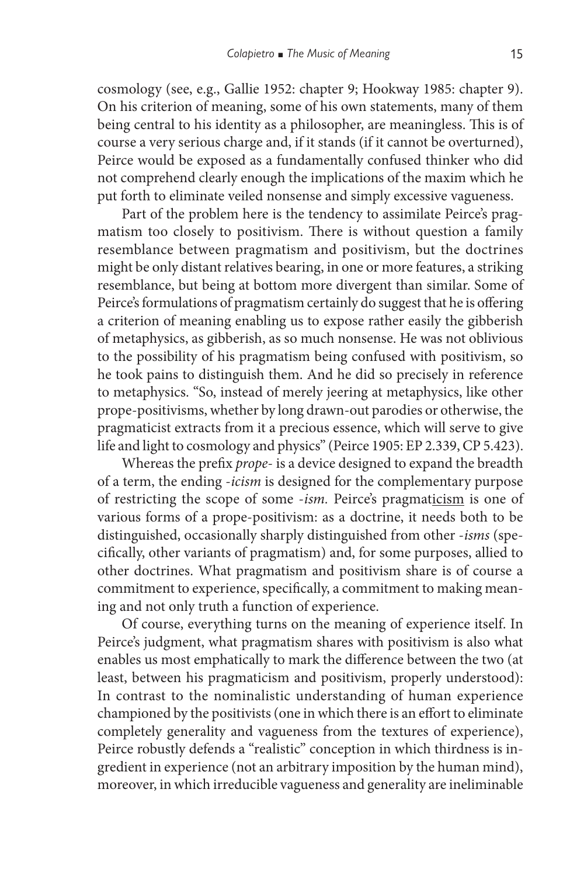cosmology (see, e.g., Gallie 1952: chapter 9; Hookway 1985: chapter 9). On his criterion of meaning, some of his own statements, many of them being central to his identity as a philosopher, are meaningless. This is of course a very serious charge and, if it stands (if it cannot be overturned), Peirce would be exposed as a fundamentally confused thinker who did not comprehend clearly enough the implications of the maxim which he put forth to eliminate veiled nonsense and simply excessive vagueness.

Part of the problem here is the tendency to assimilate Peirce's pragmatism too closely to positivism. There is without question a family resemblance between pragmatism and positivism, but the doctrines might be only distant relatives bearing, in one or more features, a striking resemblance, but being at bottom more divergent than similar. Some of Peirce's formulations of pragmatism certainly do suggest that he is offering a criterion of meaning enabling us to expose rather easily the gibberish of metaphysics, as gibberish, as so much nonsense. He was not oblivious to the possibility of his pragmatism being confused with positivism, so he took pains to distinguish them. And he did so precisely in reference to metaphysics. "So, instead of merely jeering at metaphysics, like other prope-positivisms, whether by long drawn-out parodies or otherwise, the pragmaticist extracts from it a precious essence, which will serve to give life and light to cosmology and physics" (Peirce 1905: EP 2.339, CP 5.423).

Whereas the prefix *prope*- is a device designed to expand the breadth of a term, the ending -*icism* is designed for the complementary purpose of restricting the scope of some -*ism.* Peirce's pragmaticism is one of various forms of a prope-positivism: as a doctrine, it needs both to be distinguished, occasionally sharply distinguished from other -*isms* (specifically, other variants of pragmatism) and, for some purposes, allied to other doctrines. What pragmatism and positivism share is of course a commitment to experience, specifically, a commitment to making meaning and not only truth a function of experience.

Of course, everything turns on the meaning of experience itself. In Peirce's judgment, what pragmatism shares with positivism is also what enables us most emphatically to mark the difference between the two (at least, between his pragmaticism and positivism, properly understood): In contrast to the nominalistic understanding of human experience championed by the positivists (one in which there is an effort to eliminate completely generality and vagueness from the textures of experience), Peirce robustly defends a "realistic" conception in which thirdness is ingredient in experience (not an arbitrary imposition by the human mind), moreover, in which irreducible vagueness and generality are ineliminable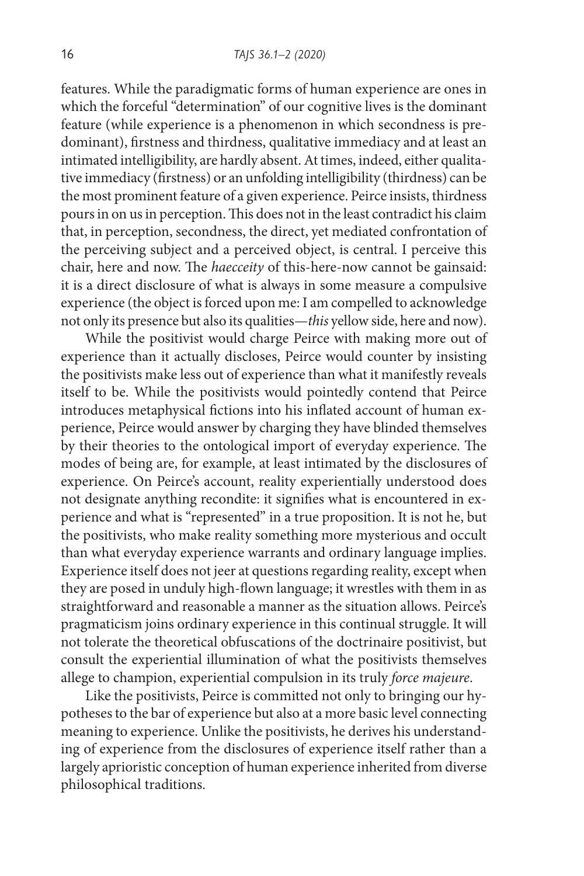features. While the paradigmatic forms of human experience are ones in which the forceful "determination" of our cognitive lives is the dominant feature (while experience is a phenomenon in which secondness is predominant), firstness and thirdness, qualitative immediacy and at least an intimated intelligibility, are hardly absent. At times, indeed, either qualitative immediacy (firstness) or an unfolding intelligibility (thirdness) can be the most prominent feature of a given experience. Peirce insists, thirdness pours in on us in perception. This does not in the least contradict his claim that, in perception, secondness, the direct, yet mediated confrontation of the perceiving subject and a perceived object, is central. I perceive this chair, here and now. The *haecceity* of this-here-now cannot be gainsaid: it is a direct disclosure of what is always in some measure a compulsive experience (the object is forced upon me: I am compelled to acknowledge not only its presence but also its qualities—*this* yellow side, here and now).

While the positivist would charge Peirce with making more out of experience than it actually discloses, Peirce would counter by insisting the positivists make less out of experience than what it manifestly reveals itself to be. While the positivists would pointedly contend that Peirce introduces metaphysical fictions into his inflated account of human experience, Peirce would answer by charging they have blinded themselves by their theories to the ontological import of everyday experience. The modes of being are, for example, at least intimated by the disclosures of experience. On Peirce's account, reality experientially understood does not designate anything recondite: it signifies what is encountered in experience and what is "represented" in a true proposition. It is not he, but the positivists, who make reality something more mysterious and occult than what everyday experience warrants and ordinary language implies. Experience itself does not jeer at questions regarding reality, except when they are posed in unduly high-flown language; it wrestles with them in as straightforward and reasonable a manner as the situation allows. Peirce's pragmaticism joins ordinary experience in this continual struggle. It will not tolerate the theoretical obfuscations of the doctrinaire positivist, but consult the experiential illumination of what the positivists themselves allege to champion, experiential compulsion in its truly *force majeure*.

Like the positivists, Peirce is committed not only to bringing our hypotheses to the bar of experience but also at a more basic level connecting meaning to experience. Unlike the positivists, he derives his understanding of experience from the disclosures of experience itself rather than a largely aprioristic conception of human experience inherited from diverse philosophical traditions.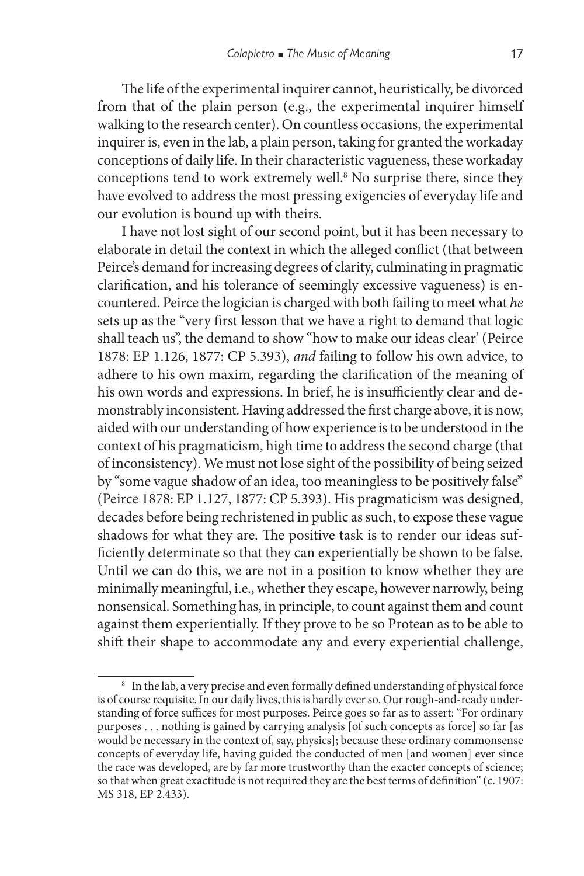The life of the experimental inquirer cannot, heuristically, be divorced from that of the plain person (e.g., the experimental inquirer himself walking to the research center). On countless occasions, the experimental inquirer is, even in the lab, a plain person, taking for granted the workaday conceptions of daily life. In their characteristic vagueness, these workaday conceptions tend to work extremely well.<sup>8</sup> No surprise there, since they have evolved to address the most pressing exigencies of everyday life and our evolution is bound up with theirs.

I have not lost sight of our second point, but it has been necessary to elaborate in detail the context in which the alleged conflict (that between Peirce's demand for increasing degrees of clarity, culminating in pragmatic clarification, and his tolerance of seemingly excessive vagueness) is encountered. Peirce the logician is charged with both failing to meet what *he* sets up as the "very first lesson that we have a right to demand that logic shall teach us", the demand to show "how to make our ideas clear' (Peirce 1878: EP 1.126, 1877: CP 5.393), *and* failing to follow his own advice, to adhere to his own maxim, regarding the clarification of the meaning of his own words and expressions. In brief, he is insufficiently clear and demonstrably inconsistent. Having addressed the first charge above, it is now, aided with our understanding of how experience is to be understood in the context of his pragmaticism, high time to address the second charge (that of inconsistency). We must not lose sight of the possibility of being seized by "some vague shadow of an idea, too meaningless to be positively false" (Peirce 1878: EP 1.127, 1877: CP 5.393). His pragmaticism was designed, decades before being rechristened in public as such, to expose these vague shadows for what they are. The positive task is to render our ideas sufficiently determinate so that they can experientially be shown to be false. Until we can do this, we are not in a position to know whether they are minimally meaningful, i.e., whether they escape, however narrowly, being nonsensical. Something has, in principle, to count against them and count against them experientially. If they prove to be so Protean as to be able to shift their shape to accommodate any and every experiential challenge,

<sup>&</sup>lt;sup>8</sup> In the lab, a very precise and even formally defined understanding of physical force is of course requisite. In our daily lives, this is hardly ever so. Our rough-and-ready understanding of force suffices for most purposes. Peirce goes so far as to assert: "For ordinary purposes . . . nothing is gained by carrying analysis [of such concepts as force] so far [as would be necessary in the context of, say, physics]; because these ordinary commonsense concepts of everyday life, having guided the conducted of men [and women] ever since the race was developed, are by far more trustworthy than the exacter concepts of science; so that when great exactitude is not required they are the best terms of definition" (c. 1907: MS 318, EP 2.433).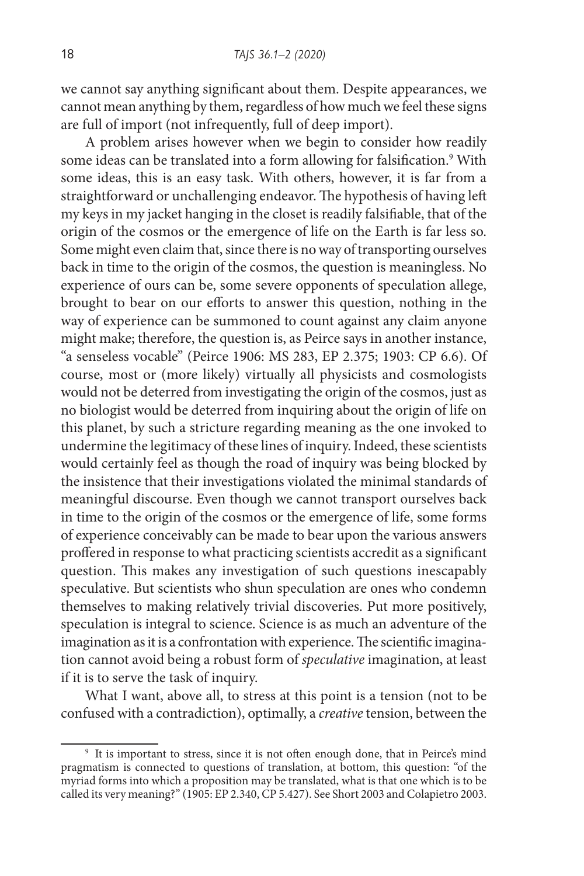we cannot say anything significant about them. Despite appearances, we cannot mean anything by them, regardless of how much we feel these signs are full of import (not infrequently, full of deep import).

A problem arises however when we begin to consider how readily some ideas can be translated into a form allowing for falsification.<sup>9</sup> With some ideas, this is an easy task. With others, however, it is far from a straightforward or unchallenging endeavor. The hypothesis of having left my keys in my jacket hanging in the closet is readily falsifiable, that of the origin of the cosmos or the emergence of life on the Earth is far less so. Some might even claim that, since there is no way of transporting ourselves back in time to the origin of the cosmos, the question is meaningless. No experience of ours can be, some severe opponents of speculation allege, brought to bear on our efforts to answer this question, nothing in the way of experience can be summoned to count against any claim anyone might make; therefore, the question is, as Peirce says in another instance, "a senseless vocable" (Peirce 1906: MS 283, EP 2.375; 1903: CP 6.6). Of course, most or (more likely) virtually all physicists and cosmologists would not be deterred from investigating the origin of the cosmos, just as no biologist would be deterred from inquiring about the origin of life on this planet, by such a stricture regarding meaning as the one invoked to undermine the legitimacy of these lines of inquiry. Indeed, these scientists would certainly feel as though the road of inquiry was being blocked by the insistence that their investigations violated the minimal standards of meaningful discourse. Even though we cannot transport ourselves back in time to the origin of the cosmos or the emergence of life, some forms of experience conceivably can be made to bear upon the various answers proffered in response to what practicing scientists accredit as a significant question. This makes any investigation of such questions inescapably speculative. But scientists who shun speculation are ones who condemn themselves to making relatively trivial discoveries. Put more positively, speculation is integral to science. Science is as much an adventure of the imagination as it is a confrontation with experience. The scientific imagination cannot avoid being a robust form of *speculative* imagination, at least if it is to serve the task of inquiry.

What I want, above all, to stress at this point is a tension (not to be confused with a contradiction), optimally, a *creative* tension, between the

<sup>&</sup>lt;sup>9</sup> It is important to stress, since it is not often enough done, that in Peirce's mind pragmatism is connected to questions of translation, at bottom, this question: "of the myriad forms into which a proposition may be translated, what is that one which is to be called its very meaning?" (1905: EP 2.340, CP 5.427). See Short 2003 and Colapietro 2003.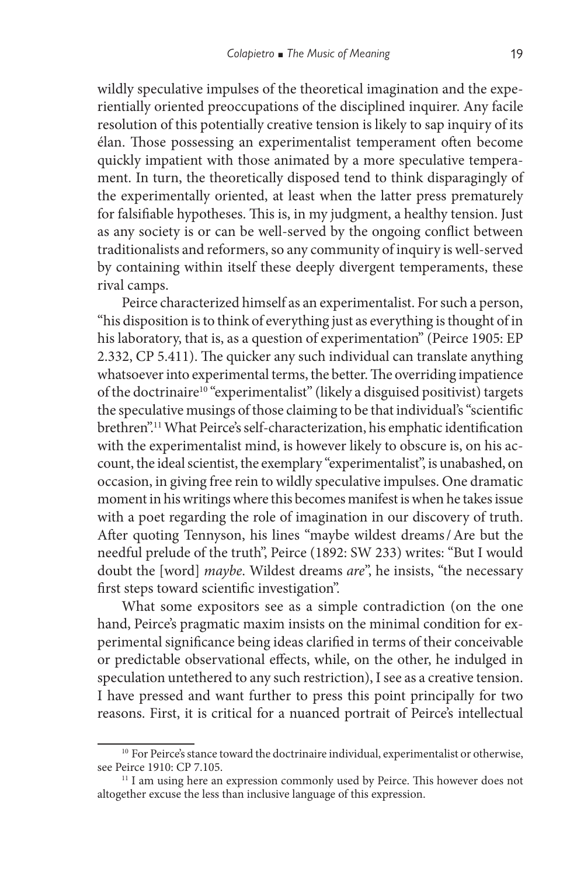wildly speculative impulses of the theoretical imagination and the experientially oriented preoccupations of the disciplined inquirer. Any facile resolution of this potentially creative tension is likely to sap inquiry of its élan. Those possessing an experimentalist temperament often become quickly impatient with those animated by a more speculative temperament. In turn, the theoretically disposed tend to think disparagingly of the experimentally oriented, at least when the latter press prematurely for falsifiable hypotheses. This is, in my judgment, a healthy tension. Just as any society is or can be well-served by the ongoing conflict between traditionalists and reformers, so any community of inquiry is well-served by containing within itself these deeply divergent temperaments, these rival camps.

Peirce characterized himself as an experimentalist. For such a person, "his disposition is to think of everything just as everything is thought of in his laboratory, that is, as a question of experimentation" (Peirce 1905: EP 2.332, CP 5.411). The quicker any such individual can translate anything whatsoever into experimental terms, the better. The overriding impatience of the doctrinaire<sup>10</sup> "experimentalist" (likely a disguised positivist) targets the speculative musings of those claiming to be that individual's "scientific brethren".11 What Peirce's self-characterization, his emphatic identification with the experimentalist mind, is however likely to obscure is, on his account, the ideal scientist, the exemplary "experimentalist", is unabashed, on occasion, in giving free rein to wildly speculative impulses. One dramatic moment in his writings where this becomes manifest is when he takes issue with a poet regarding the role of imagination in our discovery of truth. After quoting Tennyson, his lines "maybe wildest dreams/Are but the needful prelude of the truth", Peirce (1892: SW 233) writes: "But I would doubt the [word] *maybe*. Wildest dreams *are*", he insists, "the necessary first steps toward scientific investigation".

What some expositors see as a simple contradiction (on the one hand, Peirce's pragmatic maxim insists on the minimal condition for experimental significance being ideas clarified in terms of their conceivable or predictable observational effects, while, on the other, he indulged in speculation untethered to any such restriction), I see as a creative tension. I have pressed and want further to press this point principally for two reasons. First, it is critical for a nuanced portrait of Peirce's intellectual

<sup>&</sup>lt;sup>10</sup> For Peirce's stance toward the doctrinaire individual, experimentalist or otherwise, see Peirce 1910: CP 7.105.

<sup>&</sup>lt;sup>11</sup> I am using here an expression commonly used by Peirce. This however does not altogether excuse the less than inclusive language of this expression.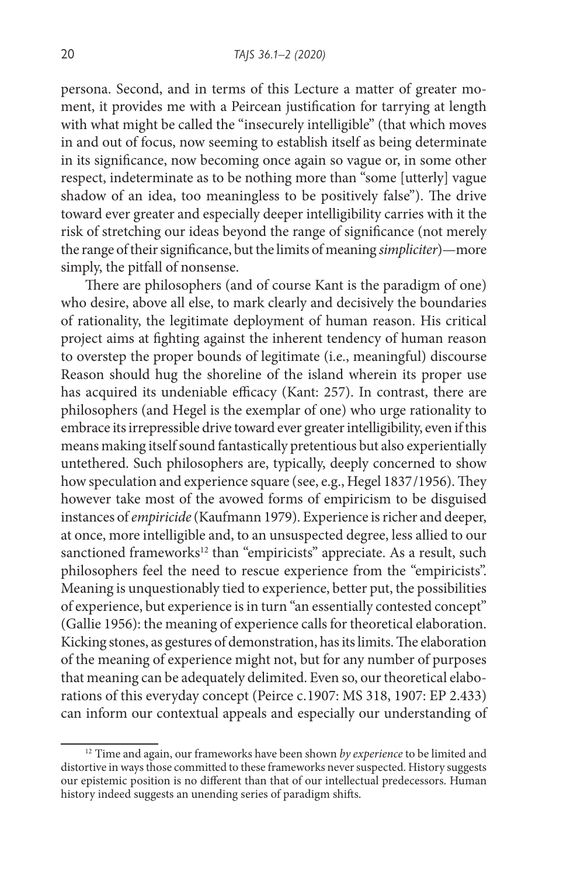persona. Second, and in terms of this Lecture a matter of greater moment, it provides me with a Peircean justification for tarrying at length with what might be called the "insecurely intelligible" (that which moves in and out of focus, now seeming to establish itself as being determinate in its significance, now becoming once again so vague or, in some other respect, indeterminate as to be nothing more than "some [utterly] vague shadow of an idea, too meaningless to be positively false"). The drive toward ever greater and especially deeper intelligibility carries with it the risk of stretching our ideas beyond the range of significance (not merely the range of their significance, but the limits of meaning *simpliciter*)—more simply, the pitfall of nonsense.

There are philosophers (and of course Kant is the paradigm of one) who desire, above all else, to mark clearly and decisively the boundaries of rationality, the legitimate deployment of human reason. His critical project aims at fighting against the inherent tendency of human reason to overstep the proper bounds of legitimate (i.e., meaningful) discourse Reason should hug the shoreline of the island wherein its proper use has acquired its undeniable efficacy (Kant: 257). In contrast, there are philosophers (and Hegel is the exemplar of one) who urge rationality to embrace its irrepressible drive toward ever greater intelligibility, even if this means making itself sound fantastically pretentious but also experientially untethered. Such philosophers are, typically, deeply concerned to show how speculation and experience square (see, e.g., Hegel 1837 /1956). They however take most of the avowed forms of empiricism to be disguised instances of *empiricide* (Kaufmann 1979). Experience is richer and deeper, at once, more intelligible and, to an unsuspected degree, less allied to our sanctioned frameworks<sup>12</sup> than "empiricists" appreciate. As a result, such philosophers feel the need to rescue experience from the "empiricists". Meaning is unquestionably tied to experience, better put, the possibilities of experience, but experience is in turn "an essentially contested concept" (Gallie 1956): the meaning of experience calls for theoretical elaboration. Kicking stones, as gestures of demonstration, has its limits. The elaboration of the meaning of experience might not, but for any number of purposes that meaning can be adequately delimited. Even so, our theoretical elaborations of this everyday concept (Peirce c.1907: MS 318, 1907: EP 2.433) can inform our contextual appeals and especially our understanding of

<sup>12</sup> Time and again, our frameworks have been shown *by experience* to be limited and distortive in ways those committed to these frameworks never suspected. History suggests our epistemic position is no different than that of our intellectual predecessors. Human history indeed suggests an unending series of paradigm shifts.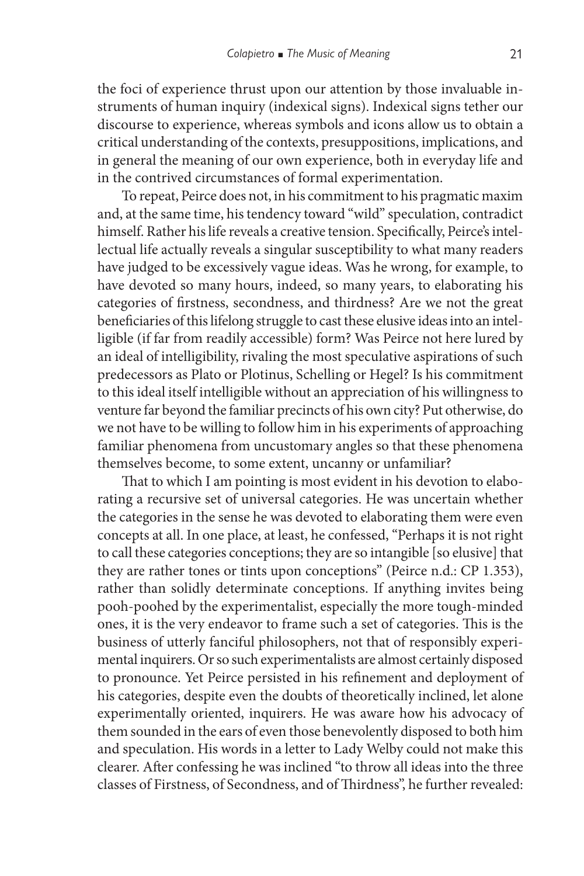the foci of experience thrust upon our attention by those invaluable instruments of human inquiry (indexical signs). Indexical signs tether our discourse to experience, whereas symbols and icons allow us to obtain a critical understanding of the contexts, presuppositions, implications, and in general the meaning of our own experience, both in everyday life and in the contrived circumstances of formal experimentation.

To repeat, Peirce does not, in his commitment to his pragmatic maxim and, at the same time, his tendency toward "wild" speculation, contradict himself. Rather his life reveals a creative tension. Specifically, Peirce's intellectual life actually reveals a singular susceptibility to what many readers have judged to be excessively vague ideas. Was he wrong, for example, to have devoted so many hours, indeed, so many years, to elaborating his categories of firstness, secondness, and thirdness? Are we not the great beneficiaries of this lifelong struggle to cast these elusive ideas into an intelligible (if far from readily accessible) form? Was Peirce not here lured by an ideal of intelligibility, rivaling the most speculative aspirations of such predecessors as Plato or Plotinus, Schelling or Hegel? Is his commitment to this ideal itself intelligible without an appreciation of his willingness to venture far beyond the familiar precincts of his own city? Put otherwise, do we not have to be willing to follow him in his experiments of approaching familiar phenomena from uncustomary angles so that these phenomena themselves become, to some extent, uncanny or unfamiliar?

That to which I am pointing is most evident in his devotion to elaborating a recursive set of universal categories. He was uncertain whether the categories in the sense he was devoted to elaborating them were even concepts at all. In one place, at least, he confessed, "Perhaps it is not right to call these categories conceptions; they are so intangible [so elusive] that they are rather tones or tints upon conceptions" (Peirce n.d.: CP 1.353), rather than solidly determinate conceptions. If anything invites being pooh-poohed by the experimentalist, especially the more tough-minded ones, it is the very endeavor to frame such a set of categories. This is the business of utterly fanciful philosophers, not that of responsibly experimental inquirers. Or so such experimentalists are almost certainly disposed to pronounce. Yet Peirce persisted in his refinement and deployment of his categories, despite even the doubts of theoretically inclined, let alone experimentally oriented, inquirers. He was aware how his advocacy of them sounded in the ears of even those benevolently disposed to both him and speculation. His words in a letter to Lady Welby could not make this clearer. After confessing he was inclined "to throw all ideas into the three classes of Firstness, of Secondness, and of Thirdness", he further revealed: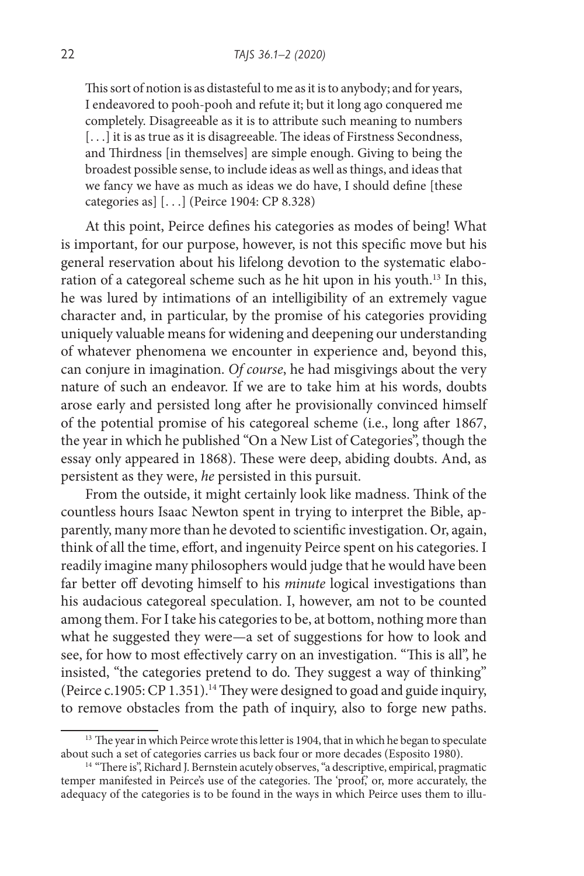This sort of notion is as distasteful to me as it is to anybody; and for years, I endeavored to pooh-pooh and refute it; but it long ago conquered me completely. Disagreeable as it is to attribute such meaning to numbers [...] it is as true as it is disagreeable. The ideas of Firstness Secondness, and Thirdness [in themselves] are simple enough. Giving to being the broadest possible sense, to include ideas as well as things, and ideas that we fancy we have as much as ideas we do have, I should define [these categories as] [. . .] (Peirce 1904: CP 8.328)

At this point, Peirce defines his categories as modes of being! What is important, for our purpose, however, is not this specific move but his general reservation about his lifelong devotion to the systematic elaboration of a categoreal scheme such as he hit upon in his youth.<sup>13</sup> In this, he was lured by intimations of an intelligibility of an extremely vague character and, in particular, by the promise of his categories providing uniquely valuable means for widening and deepening our understanding of whatever phenomena we encounter in experience and, beyond this, can conjure in imagination. *Of course*, he had misgivings about the very nature of such an endeavor. If we are to take him at his words, doubts arose early and persisted long after he provisionally convinced himself of the potential promise of his categoreal scheme (i.e., long after 1867, the year in which he published "On a New List of Categories", though the essay only appeared in 1868). These were deep, abiding doubts. And, as persistent as they were, *he* persisted in this pursuit.

From the outside, it might certainly look like madness. Think of the countless hours Isaac Newton spent in trying to interpret the Bible, apparently, many more than he devoted to scientific investigation. Or, again, think of all the time, effort, and ingenuity Peirce spent on his categories. I readily imagine many philosophers would judge that he would have been far better off devoting himself to his *minute* logical investigations than his audacious categoreal speculation. I, however, am not to be counted among them. For I take his categories to be, at bottom, nothing more than what he suggested they were—a set of suggestions for how to look and see, for how to most effectively carry on an investigation. "This is all", he insisted, "the categories pretend to do. They suggest a way of thinking" (Peirce c.1905: CP 1.351).<sup>14</sup> They were designed to goad and guide inquiry, to remove obstacles from the path of inquiry, also to forge new paths.

<sup>&</sup>lt;sup>13</sup> The year in which Peirce wrote this letter is 1904, that in which he began to speculate about such a set of categories carries us back four or more decades (Esposito 1980).

<sup>&</sup>lt;sup>14</sup> "There is", Richard J. Bernstein acutely observes, "a descriptive, empirical, pragmatic temper manifested in Peirce's use of the categories. The 'proof', or, more accurately, the adequacy of the categories is to be found in the ways in which Peirce uses them to illu-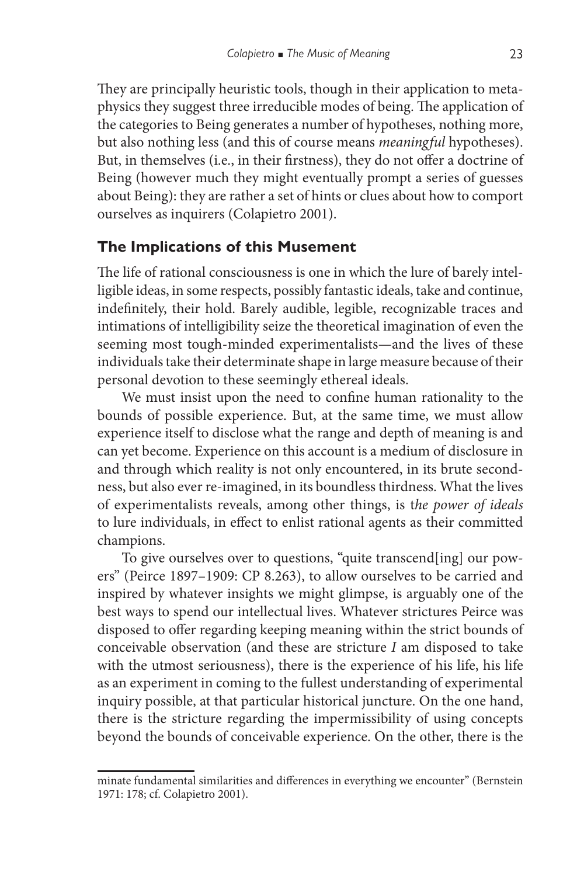They are principally heuristic tools, though in their application to metaphysics they suggest three irreducible modes of being. The application of the categories to Being generates a number of hypotheses, nothing more, but also nothing less (and this of course means *meaningful* hypotheses). But, in themselves (i.e., in their firstness), they do not offer a doctrine of Being (however much they might eventually prompt a series of guesses about Being): they are rather a set of hints or clues about how to comport ourselves as inquirers (Colapietro 2001).

# **The Implications of this Musement**

The life of rational consciousness is one in which the lure of barely intelligible ideas, in some respects, possibly fantastic ideals, take and continue, indefinitely, their hold. Barely audible, legible, recognizable traces and intimations of intelligibility seize the theoretical imagination of even the seeming most tough-minded experimentalists—and the lives of these individuals take their determinate shape in large measure because of their personal devotion to these seemingly ethereal ideals.

We must insist upon the need to confine human rationality to the bounds of possible experience. But, at the same time, we must allow experience itself to disclose what the range and depth of meaning is and can yet become. Experience on this account is a medium of disclosure in and through which reality is not only encountered, in its brute secondness, but also ever re-imagined, in its boundless thirdness. What the lives of experimentalists reveals, among other things, is t*he power of ideals*  to lure individuals, in effect to enlist rational agents as their committed champions.

To give ourselves over to questions, "quite transcend[ing] our powers" (Peirce 1897–1909: CP 8.263), to allow ourselves to be carried and inspired by whatever insights we might glimpse, is arguably one of the best ways to spend our intellectual lives. Whatever strictures Peirce was disposed to offer regarding keeping meaning within the strict bounds of conceivable observation (and these are stricture *I* am disposed to take with the utmost seriousness), there is the experience of his life, his life as an experiment in coming to the fullest understanding of experimental inquiry possible, at that particular historical juncture. On the one hand, there is the stricture regarding the impermissibility of using concepts beyond the bounds of conceivable experience. On the other, there is the

minate fundamental similarities and differences in everything we encounter" (Bernstein 1971: 178; cf. Colapietro 2001).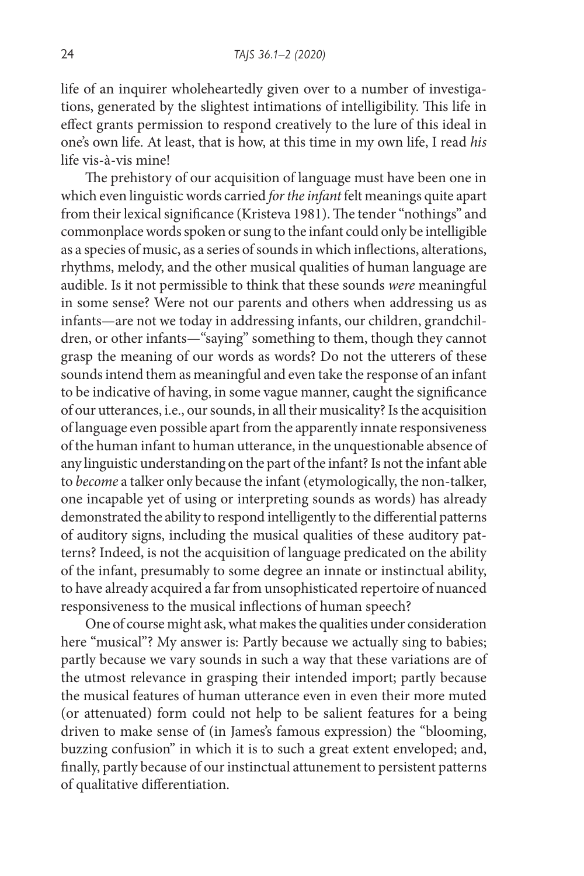life of an inquirer wholeheartedly given over to a number of investigations, generated by the slightest intimations of intelligibility. This life in effect grants permission to respond creatively to the lure of this ideal in one's own life. At least, that is how, at this time in my own life, I read *his* life vis-à-vis mine!

The prehistory of our acquisition of language must have been one in which even linguistic words carried *for the infant* felt meanings quite apart from their lexical significance (Kristeva 1981). The tender "nothings" and commonplace words spoken or sung to the infant could only be intelligible as a species of music, as a series of sounds in which inflections, alterations, rhythms, melody, and the other musical qualities of human language are audible. Is it not permissible to think that these sounds *were* meaningful in some sense? Were not our parents and others when addressing us as infants—are not we today in addressing infants, our children, grandchildren, or other infants—"saying" something to them, though they cannot grasp the meaning of our words as words? Do not the utterers of these sounds intend them as meaningful and even take the response of an infant to be indicative of having, in some vague manner, caught the significance of our utterances, i.e., our sounds, in all their musicality? Is the acquisition of language even possible apart from the apparently innate responsiveness of the human infant to human utterance, in the unquestionable absence of any linguistic understanding on the part of the infant? Is not the infant able to *become* a talker only because the infant (etymologically, the non-talker, one incapable yet of using or interpreting sounds as words) has already demonstrated the ability to respond intelligently to the differential patterns of auditory signs, including the musical qualities of these auditory patterns? Indeed, is not the acquisition of language predicated on the ability of the infant, presumably to some degree an innate or instinctual ability, to have already acquired a far from unsophisticated repertoire of nuanced responsiveness to the musical inflections of human speech?

One of course might ask, what makes the qualities under consideration here "musical"? My answer is: Partly because we actually sing to babies; partly because we vary sounds in such a way that these variations are of the utmost relevance in grasping their intended import; partly because the musical features of human utterance even in even their more muted (or attenuated) form could not help to be salient features for a being driven to make sense of (in James's famous expression) the "blooming, buzzing confusion" in which it is to such a great extent enveloped; and, finally, partly because of our instinctual attunement to persistent patterns of qualitative differentiation.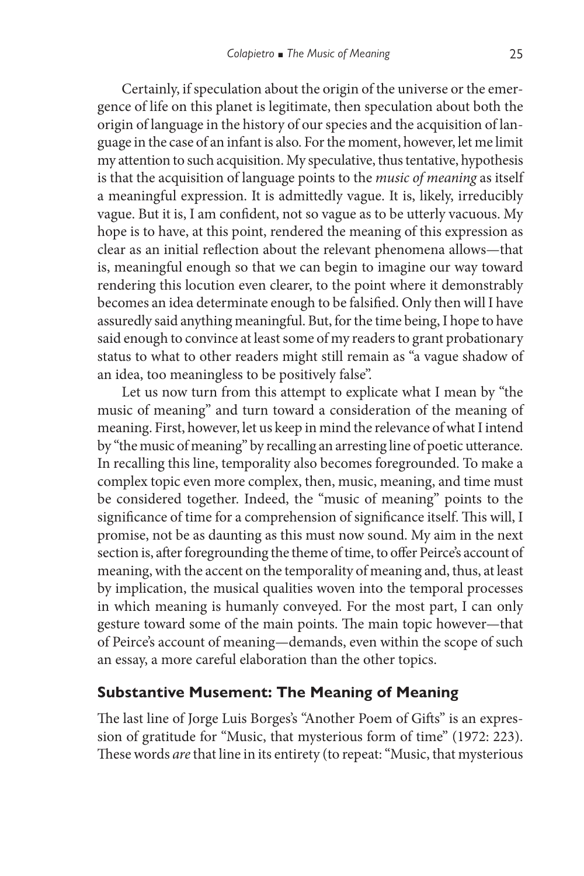Certainly, if speculation about the origin of the universe or the emergence of life on this planet is legitimate, then speculation about both the origin of language in the history of our species and the acquisition of language in the case of an infant is also. For the moment, however, let me limit my attention to such acquisition. My speculative, thus tentative, hypothesis is that the acquisition of language points to the *music of meaning* as itself a meaningful expression. It is admittedly vague. It is, likely, irreducibly vague. But it is, I am confident, not so vague as to be utterly vacuous. My hope is to have, at this point, rendered the meaning of this expression as clear as an initial reflection about the relevant phenomena allows—that is, meaningful enough so that we can begin to imagine our way toward rendering this locution even clearer, to the point where it demonstrably becomes an idea determinate enough to be falsified. Only then will I have assuredly said anything meaningful. But, for the time being, I hope to have said enough to convince at least some of my readers to grant probationary status to what to other readers might still remain as "a vague shadow of an idea, too meaningless to be positively false".

Let us now turn from this attempt to explicate what I mean by "the music of meaning" and turn toward a consideration of the meaning of meaning. First, however, let us keep in mind the relevance of what I intend by "the music of meaning" by recalling an arresting line of poetic utterance. In recalling this line, temporality also becomes foregrounded. To make a complex topic even more complex, then, music, meaning, and time must be considered together. Indeed, the "music of meaning" points to the significance of time for a comprehension of significance itself. This will, I promise, not be as daunting as this must now sound. My aim in the next section is, after foregrounding the theme of time, to offer Peirce's account of meaning, with the accent on the temporality of meaning and, thus, at least by implication, the musical qualities woven into the temporal processes in which meaning is humanly conveyed. For the most part, I can only gesture toward some of the main points. The main topic however—that of Peirce's account of meaning—demands, even within the scope of such an essay, a more careful elaboration than the other topics.

# **Substantive Musement: The Meaning of Meaning**

The last line of Jorge Luis Borges's "Another Poem of Gifts" is an expression of gratitude for "Music, that mysterious form of time" (1972: 223). These words *are* that line in its entirety (to repeat: "Music, that mysterious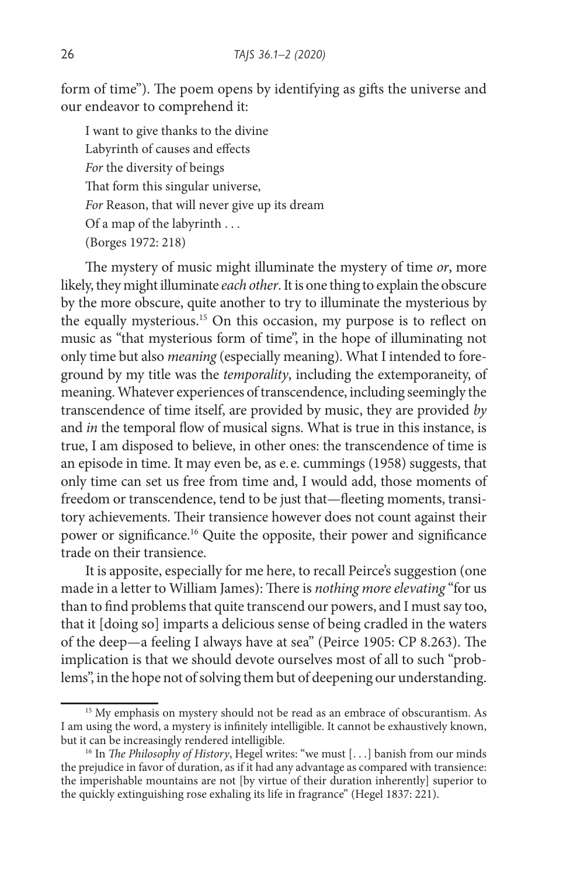form of time"). The poem opens by identifying as gifts the universe and our endeavor to comprehend it:

I want to give thanks to the divine Labyrinth of causes and effects *For* the diversity of beings That form this singular universe, *For* Reason, that will never give up its dream Of a map of the labyrinth . . . (Borges 1972: 218)

The mystery of music might illuminate the mystery of time *or*, more likely, they might illuminate *each other*. It is one thing to explain the obscure by the more obscure, quite another to try to illuminate the mysterious by the equally mysterious.15 On this occasion, my purpose is to reflect on music as "that mysterious form of time", in the hope of illuminating not only time but also *meaning* (especially meaning). What I intended to foreground by my title was the *temporality*, including the extemporaneity, of meaning. Whatever experiences of transcendence, including seemingly the transcendence of time itself, are provided by music, they are provided *by* and *in* the temporal flow of musical signs. What is true in this instance, is true, I am disposed to believe, in other ones: the transcendence of time is an episode in time. It may even be, as e. e. cummings (1958) suggests, that only time can set us free from time and, I would add, those moments of freedom or transcendence, tend to be just that—fleeting moments, transitory achievements. Their transience however does not count against their power or significance.16 Quite the opposite, their power and significance trade on their transience.

It is apposite, especially for me here, to recall Peirce's suggestion (one made in a letter to William James): There is *nothing more elevating* "for us than to find problems that quite transcend our powers, and I must say too, that it [doing so] imparts a delicious sense of being cradled in the waters of the deep—a feeling I always have at sea" (Peirce 1905: CP 8.263). The implication is that we should devote ourselves most of all to such "problems", in the hope not of solving them but of deepening our understanding.

<sup>&</sup>lt;sup>15</sup> My emphasis on mystery should not be read as an embrace of obscurantism. As I am using the word, a mystery is infinitely intelligible. It cannot be exhaustively known, but it can be increasingly rendered intelligible.

<sup>16</sup> In *The Philosophy of History*, Hegel writes: "we must [. . .] banish from our minds the prejudice in favor of duration, as if it had any advantage as compared with transience: the imperishable mountains are not [by virtue of their duration inherently] superior to the quickly extinguishing rose exhaling its life in fragrance" (Hegel 1837: 221).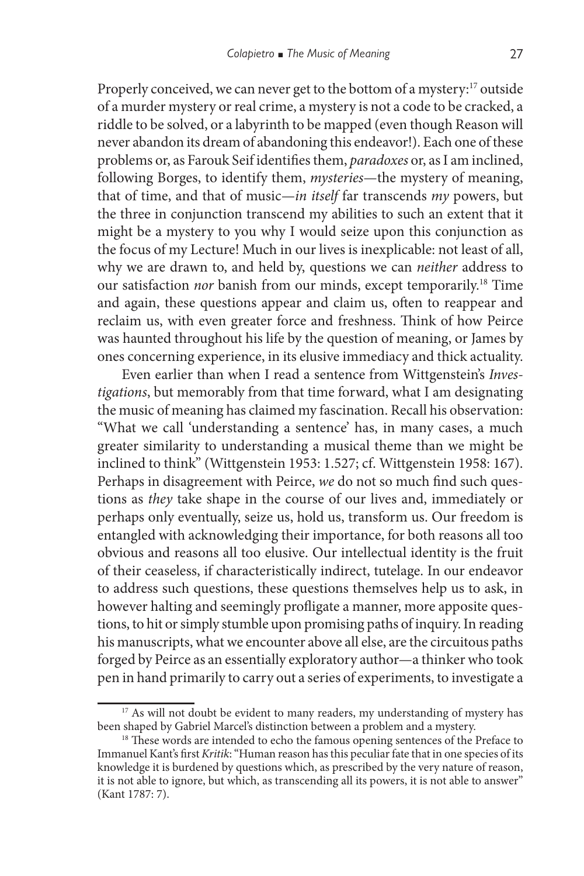Properly conceived, we can never get to the bottom of a mystery:<sup>17</sup> outside of a murder mystery or real crime, a mystery is not a code to be cracked, a riddle to be solved, or a labyrinth to be mapped (even though Reason will never abandon its dream of abandoning this endeavor!). Each one of these problems or, as Farouk Seif identifies them, *paradoxes* or, as I am inclined, following Borges, to identify them, *mysteries*—the mystery of meaning, that of time, and that of music—*in itself* far transcends *my* powers, but the three in conjunction transcend my abilities to such an extent that it might be a mystery to you why I would seize upon this conjunction as the focus of my Lecture! Much in our lives is inexplicable: not least of all, why we are drawn to, and held by, questions we can *neither* address to our satisfaction *nor* banish from our minds, except temporarily.18 Time and again, these questions appear and claim us, often to reappear and reclaim us, with even greater force and freshness. Think of how Peirce was haunted throughout his life by the question of meaning, or James by ones concerning experience, in its elusive immediacy and thick actuality.

Even earlier than when I read a sentence from Wittgenstein's *Investigations*, but memorably from that time forward, what I am designating the music of meaning has claimed my fascination. Recall his observation: "What we call 'understanding a sentence' has, in many cases, a much greater similarity to understanding a musical theme than we might be inclined to think" (Wittgenstein 1953: 1.527; cf. Wittgenstein 1958: 167). Perhaps in disagreement with Peirce, *we* do not so much find such questions as *they* take shape in the course of our lives and, immediately or perhaps only eventually, seize us, hold us, transform us. Our freedom is entangled with acknowledging their importance, for both reasons all too obvious and reasons all too elusive. Our intellectual identity is the fruit of their ceaseless, if characteristically indirect, tutelage. In our endeavor to address such questions, these questions themselves help us to ask, in however halting and seemingly profligate a manner, more apposite questions, to hit or simply stumble upon promising paths of inquiry. In reading his manuscripts, what we encounter above all else, are the circuitous paths forged by Peirce as an essentially exploratory author—a thinker who took pen in hand primarily to carry out a series of experiments, to investigate a

<sup>&</sup>lt;sup>17</sup> As will not doubt be evident to many readers, my understanding of mystery has been shaped by Gabriel Marcel's distinction between a problem and a mystery.

<sup>&</sup>lt;sup>18</sup> These words are intended to echo the famous opening sentences of the Preface to Immanuel Kant's first *Kritik*: "Human reason has this peculiar fate that in one species of its knowledge it is burdened by questions which, as prescribed by the very nature of reason, it is not able to ignore, but which, as transcending all its powers, it is not able to answer" (Kant 1787: 7).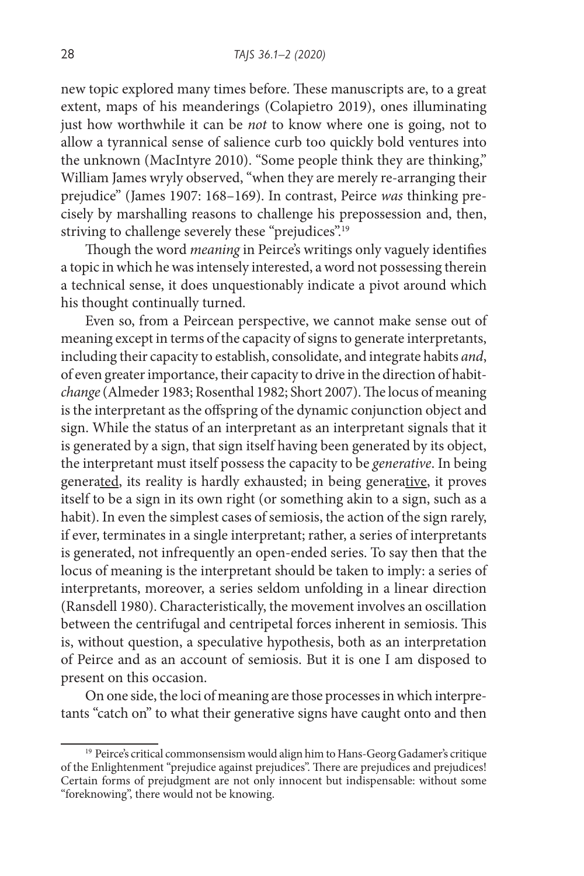new topic explored many times before. These manuscripts are, to a great extent, maps of his meanderings (Colapietro 2019), ones illuminating just how worthwhile it can be *not* to know where one is going, not to allow a tyrannical sense of salience curb too quickly bold ventures into the unknown (MacIntyre 2010). "Some people think they are thinking," William James wryly observed, "when they are merely re-arranging their prejudice" (James 1907: 168–169). In contrast, Peirce *was* thinking precisely by marshalling reasons to challenge his prepossession and, then, striving to challenge severely these "prejudices".<sup>19</sup>

Though the word *meaning* in Peirce's writings only vaguely identifies a topic in which he was intensely interested, a word not possessing therein a technical sense, it does unquestionably indicate a pivot around which his thought continually turned.

Even so, from a Peircean perspective, we cannot make sense out of meaning except in terms of the capacity of signs to generate interpretants, including their capacity to establish, consolidate, and integrate habits *and*, of even greater importance, their capacity to drive in the direction of habit*change* (Almeder 1983; Rosenthal 1982; Short 2007). The locus of meaning is the interpretant as the offspring of the dynamic conjunction object and sign. While the status of an interpretant as an interpretant signals that it is generated by a sign, that sign itself having been generated by its object, the interpretant must itself possess the capacity to be *generative*. In being generated, its reality is hardly exhausted; in being generative, it proves itself to be a sign in its own right (or something akin to a sign, such as a habit). In even the simplest cases of semiosis, the action of the sign rarely, if ever, terminates in a single interpretant; rather, a series of interpretants is generated, not infrequently an open-ended series. To say then that the locus of meaning is the interpretant should be taken to imply: a series of interpretants, moreover, a series seldom unfolding in a linear direction (Ransdell 1980). Characteristically, the movement involves an oscillation between the centrifugal and centripetal forces inherent in semiosis. This is, without question, a speculative hypothesis, both as an interpretation of Peirce and as an account of semiosis. But it is one I am disposed to present on this occasion.

On one side, the loci of meaning are those processes in which interpretants "catch on" to what their generative signs have caught onto and then

<sup>&</sup>lt;sup>19</sup> Peirce's critical commonsensism would align him to Hans-Georg Gadamer's critique of the Enlightenment "prejudice against prejudices". There are prejudices and prejudices! Certain forms of prejudgment are not only innocent but indispensable: without some "foreknowing", there would not be knowing.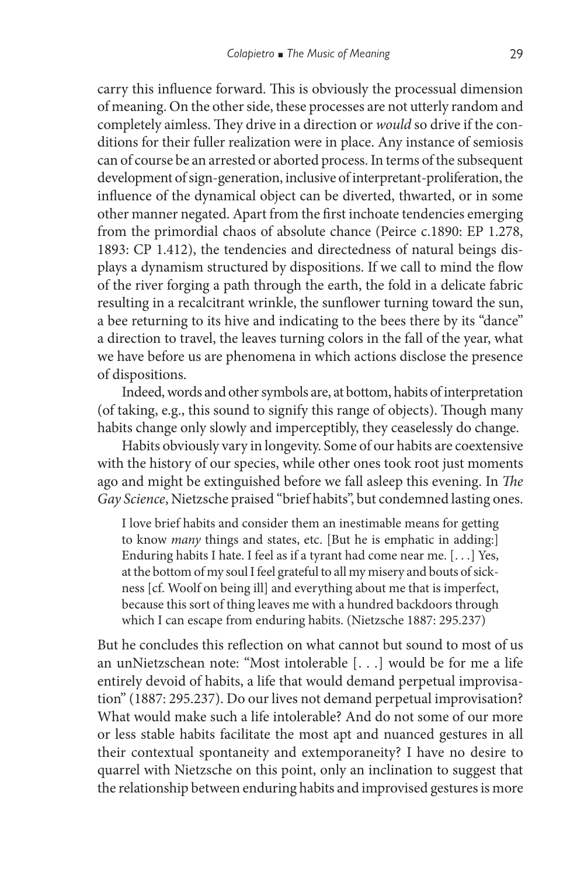carry this influence forward. This is obviously the processual dimension of meaning. On the other side, these processes are not utterly random and completely aimless. They drive in a direction or *would* so drive if the conditions for their fuller realization were in place. Any instance of semiosis can of course be an arrested or aborted process. In terms of the subsequent development of sign-generation, inclusive of interpretant-proliferation, the influence of the dynamical object can be diverted, thwarted, or in some other manner negated. Apart from the first inchoate tendencies emerging from the primordial chaos of absolute chance (Peirce c.1890: EP 1.278, 1893: CP 1.412), the tendencies and directedness of natural beings displays a dynamism structured by dispositions. If we call to mind the flow of the river forging a path through the earth, the fold in a delicate fabric resulting in a recalcitrant wrinkle, the sunflower turning toward the sun, a bee returning to its hive and indicating to the bees there by its "dance" a direction to travel, the leaves turning colors in the fall of the year, what we have before us are phenomena in which actions disclose the presence of dispositions.

Indeed, words and other symbols are, at bottom, habits of interpretation (of taking, e.g., this sound to signify this range of objects). Though many habits change only slowly and imperceptibly, they ceaselessly do change.

Habits obviously vary in longevity. Some of our habits are coextensive with the history of our species, while other ones took root just moments ago and might be extinguished before we fall asleep this evening. In *The Gay Science*, Nietzsche praised "brief habits", but condemned lasting ones.

I love brief habits and consider them an inestimable means for getting to know *many* things and states, etc. [But he is emphatic in adding:] Enduring habits I hate. I feel as if a tyrant had come near me. [. . .] Yes, at the bottom of my soul I feel grateful to all my misery and bouts of sickness [cf. Woolf on being ill] and everything about me that is imperfect, because this sort of thing leaves me with a hundred backdoors through which I can escape from enduring habits. (Nietzsche 1887: 295.237)

But he concludes this reflection on what cannot but sound to most of us an unNietzschean note: "Most intolerable [. . .] would be for me a life entirely devoid of habits, a life that would demand perpetual improvisation" (1887: 295.237). Do our lives not demand perpetual improvisation? What would make such a life intolerable? And do not some of our more or less stable habits facilitate the most apt and nuanced gestures in all their contextual spontaneity and extemporaneity? I have no desire to quarrel with Nietzsche on this point, only an inclination to suggest that the relationship between enduring habits and improvised gestures is more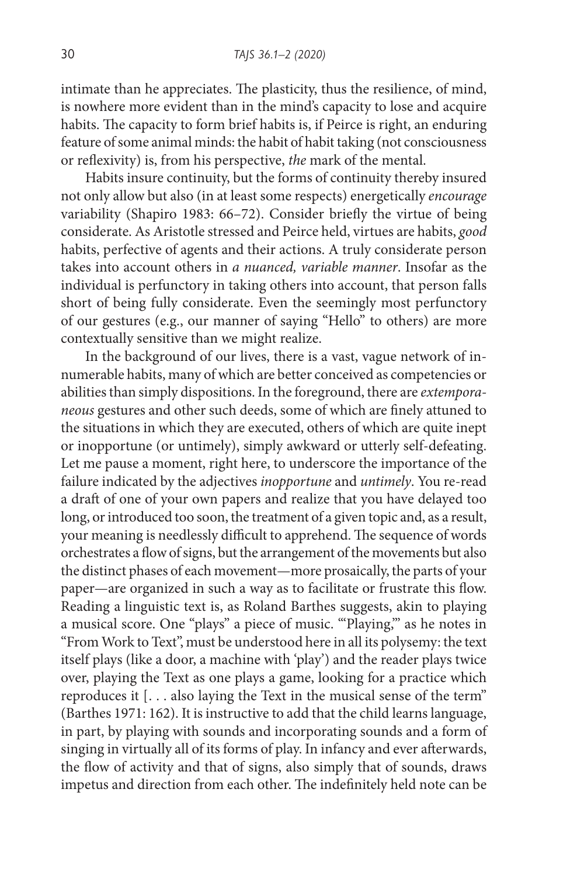intimate than he appreciates. The plasticity, thus the resilience, of mind, is nowhere more evident than in the mind's capacity to lose and acquire habits. The capacity to form brief habits is, if Peirce is right, an enduring feature of some animal minds: the habit of habit taking (not consciousness or reflexivity) is, from his perspective, *the* mark of the mental.

Habits insure continuity, but the forms of continuity thereby insured not only allow but also (in at least some respects) energetically *encourage* variability (Shapiro 1983: 66–72). Consider briefly the virtue of being considerate. As Aristotle stressed and Peirce held, virtues are habits, *good* habits, perfective of agents and their actions. A truly considerate person takes into account others in *a nuanced, variable manner*. Insofar as the individual is perfunctory in taking others into account, that person falls short of being fully considerate. Even the seemingly most perfunctory of our gestures (e.g., our manner of saying "Hello" to others) are more contextually sensitive than we might realize.

In the background of our lives, there is a vast, vague network of innumerable habits, many of which are better conceived as competencies or abilities than simply dispositions. In the foreground, there are *extemporaneous* gestures and other such deeds, some of which are finely attuned to the situations in which they are executed, others of which are quite inept or inopportune (or untimely), simply awkward or utterly self-defeating. Let me pause a moment, right here, to underscore the importance of the failure indicated by the adjectives *inopportune* and *untimely*. You re-read a draft of one of your own papers and realize that you have delayed too long, or introduced too soon, the treatment of a given topic and, as a result, your meaning is needlessly difficult to apprehend. The sequence of words orchestrates a flow of signs, but the arrangement of the movements but also the distinct phases of each movement—more prosaically, the parts of your paper—are organized in such a way as to facilitate or frustrate this flow. Reading a linguistic text is, as Roland Barthes suggests, akin to playing a musical score. One "plays" a piece of music. "'Playing,'" as he notes in "From Work to Text", must be understood here in all its polysemy: the text itself plays (like a door, a machine with 'play') and the reader plays twice over, playing the Text as one plays a game, looking for a practice which reproduces it [. . . also laying the Text in the musical sense of the term" (Barthes 1971: 162). It is instructive to add that the child learns language, in part, by playing with sounds and incorporating sounds and a form of singing in virtually all of its forms of play. In infancy and ever afterwards, the flow of activity and that of signs, also simply that of sounds, draws impetus and direction from each other. The indefinitely held note can be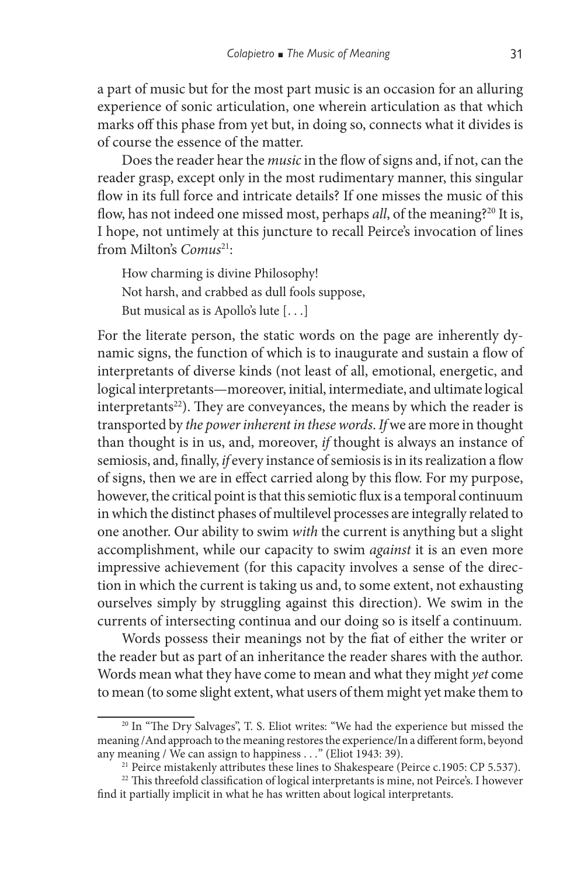a part of music but for the most part music is an occasion for an alluring experience of sonic articulation, one wherein articulation as that which marks off this phase from yet but, in doing so, connects what it divides is of course the essence of the matter.

Does the reader hear the *music* in the flow of signs and, if not, can the reader grasp, except only in the most rudimentary manner, this singular flow in its full force and intricate details? If one misses the music of this flow, has not indeed one missed most, perhaps *all*, of the meaning?<sup>20</sup> It is, I hope, not untimely at this juncture to recall Peirce's invocation of lines from Milton's *Comus*21:

How charming is divine Philosophy! Not harsh, and crabbed as dull fools suppose, But musical as is Apollo's lute [. . .]

For the literate person, the static words on the page are inherently dynamic signs, the function of which is to inaugurate and sustain a flow of interpretants of diverse kinds (not least of all, emotional, energetic, and logical interpretants—moreover, initial, intermediate, and ultimate logical  $interpretants<sup>22</sup>$ . They are conveyances, the means by which the reader is transported by *the power inherent in these words*. *If* we are more in thought than thought is in us, and, moreover, *if* thought is always an instance of semiosis, and, finally, *if* every instance of semiosis is in its realization a flow of signs, then we are in effect carried along by this flow. For my purpose, however, the critical point is that this semiotic flux is a temporal continuum in which the distinct phases of multilevel processes are integrally related to one another. Our ability to swim *with* the current is anything but a slight accomplishment, while our capacity to swim *against* it is an even more impressive achievement (for this capacity involves a sense of the direction in which the current is taking us and, to some extent, not exhausting ourselves simply by struggling against this direction). We swim in the currents of intersecting continua and our doing so is itself a continuum.

Words possess their meanings not by the fiat of either the writer or the reader but as part of an inheritance the reader shares with the author. Words mean what they have come to mean and what they might *yet* come to mean (to some slight extent, what users of them might yet make them to

<sup>&</sup>lt;sup>20</sup> In "The Dry Salvages", T. S. Eliot writes: "We had the experience but missed the meaning /And approach to the meaning restores the experience/In a different form, beyond any meaning / We can assign to happiness . . ." (Eliot 1943: 39).

<sup>&</sup>lt;sup>21</sup> Peirce mistakenly attributes these lines to Shakespeare (Peirce c.1905: CP 5.537).

<sup>&</sup>lt;sup>22</sup> This threefold classification of logical interpretants is mine, not Peirce's. I however find it partially implicit in what he has written about logical interpretants.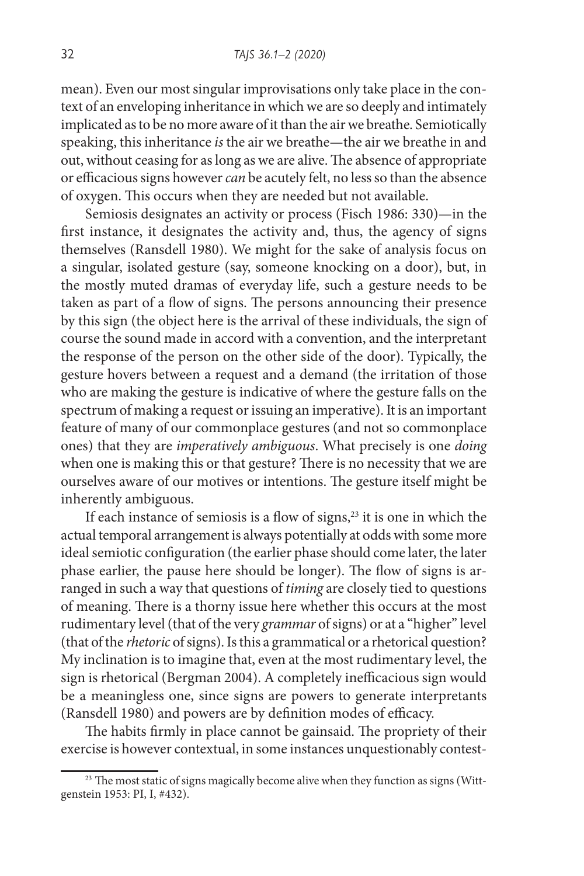mean). Even our most singular improvisations only take place in the context of an enveloping inheritance in which we are so deeply and intimately implicated as to be no more aware of it than the air we breathe. Semiotically speaking, this inheritance *is* the air we breathe—the air we breathe in and out, without ceasing for as long as we are alive. The absence of appropriate or efficacious signs however *can* be acutely felt, no less so than the absence of oxygen. This occurs when they are needed but not available.

Semiosis designates an activity or process (Fisch 1986: 330)—in the first instance, it designates the activity and, thus, the agency of signs themselves (Ransdell 1980). We might for the sake of analysis focus on a singular, isolated gesture (say, someone knocking on a door), but, in the mostly muted dramas of everyday life, such a gesture needs to be taken as part of a flow of signs. The persons announcing their presence by this sign (the object here is the arrival of these individuals, the sign of course the sound made in accord with a convention, and the interpretant the response of the person on the other side of the door). Typically, the gesture hovers between a request and a demand (the irritation of those who are making the gesture is indicative of where the gesture falls on the spectrum of making a request or issuing an imperative). It is an important feature of many of our commonplace gestures (and not so commonplace ones) that they are *imperatively ambiguous*. What precisely is one *doing* when one is making this or that gesture? There is no necessity that we are ourselves aware of our motives or intentions. The gesture itself might be inherently ambiguous.

If each instance of semiosis is a flow of signs, $23$  it is one in which the actual temporal arrangement is always potentially at odds with some more ideal semiotic configuration (the earlier phase should come later, the later phase earlier, the pause here should be longer). The flow of signs is arranged in such a way that questions of *timing* are closely tied to questions of meaning. There is a thorny issue here whether this occurs at the most rudimentary level (that of the very *grammar* of signs) or at a "higher" level (that of the *rhetoric* of signs). Is this a grammatical or a rhetorical question? My inclination is to imagine that, even at the most rudimentary level, the sign is rhetorical (Bergman 2004). A completely inefficacious sign would be a meaningless one, since signs are powers to generate interpretants (Ransdell 1980) and powers are by definition modes of efficacy.

The habits firmly in place cannot be gainsaid. The propriety of their exercise is however contextual, in some instances unquestionably contest-

<sup>&</sup>lt;sup>23</sup> The most static of signs magically become alive when they function as signs (Wittgenstein 1953: PI, I, #432).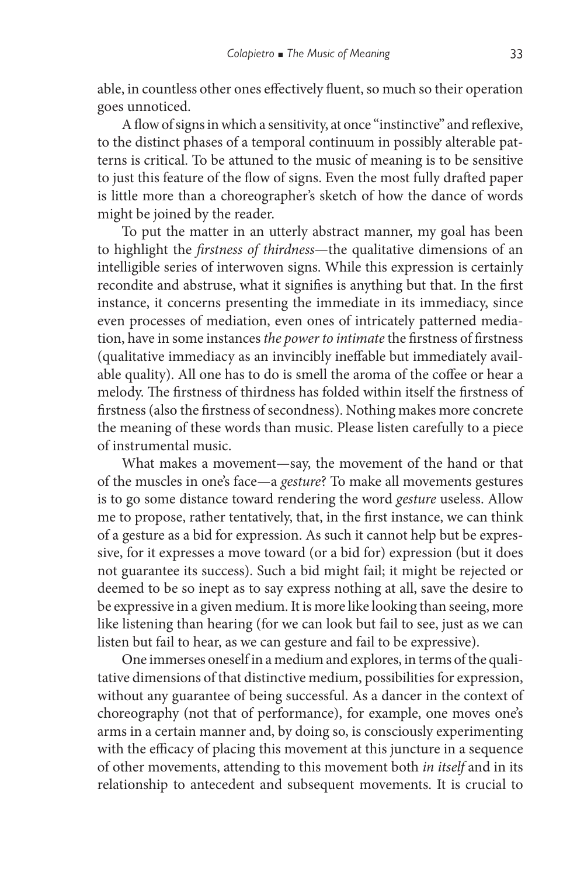able, in countless other ones effectively fluent, so much so their operation goes unnoticed.

A flow of signs in which a sensitivity, at once "instinctive" and reflexive, to the distinct phases of a temporal continuum in possibly alterable patterns is critical. To be attuned to the music of meaning is to be sensitive to just this feature of the flow of signs. Even the most fully drafted paper is little more than a choreographer's sketch of how the dance of words might be joined by the reader.

To put the matter in an utterly abstract manner, my goal has been to highlight the *firstness of thirdness*—the qualitative dimensions of an intelligible series of interwoven signs. While this expression is certainly recondite and abstruse, what it signifies is anything but that. In the first instance, it concerns presenting the immediate in its immediacy, since even processes of mediation, even ones of intricately patterned mediation, have in some instances *the power to intimate* the firstness of firstness (qualitative immediacy as an invincibly ineffable but immediately available quality). All one has to do is smell the aroma of the coffee or hear a melody. The firstness of thirdness has folded within itself the firstness of firstness (also the firstness of secondness). Nothing makes more concrete the meaning of these words than music. Please listen carefully to a piece of instrumental music.

What makes a movement—say, the movement of the hand or that of the muscles in one's face—a *gesture*? To make all movements gestures is to go some distance toward rendering the word *gesture* useless. Allow me to propose, rather tentatively, that, in the first instance, we can think of a gesture as a bid for expression. As such it cannot help but be expressive, for it expresses a move toward (or a bid for) expression (but it does not guarantee its success). Such a bid might fail; it might be rejected or deemed to be so inept as to say express nothing at all, save the desire to be expressive in a given medium. It is more like looking than seeing, more like listening than hearing (for we can look but fail to see, just as we can listen but fail to hear, as we can gesture and fail to be expressive).

One immerses oneself in a medium and explores, in terms of the qualitative dimensions of that distinctive medium, possibilities for expression, without any guarantee of being successful. As a dancer in the context of choreography (not that of performance), for example, one moves one's arms in a certain manner and, by doing so, is consciously experimenting with the efficacy of placing this movement at this juncture in a sequence of other movements, attending to this movement both *in itself* and in its relationship to antecedent and subsequent movements. It is crucial to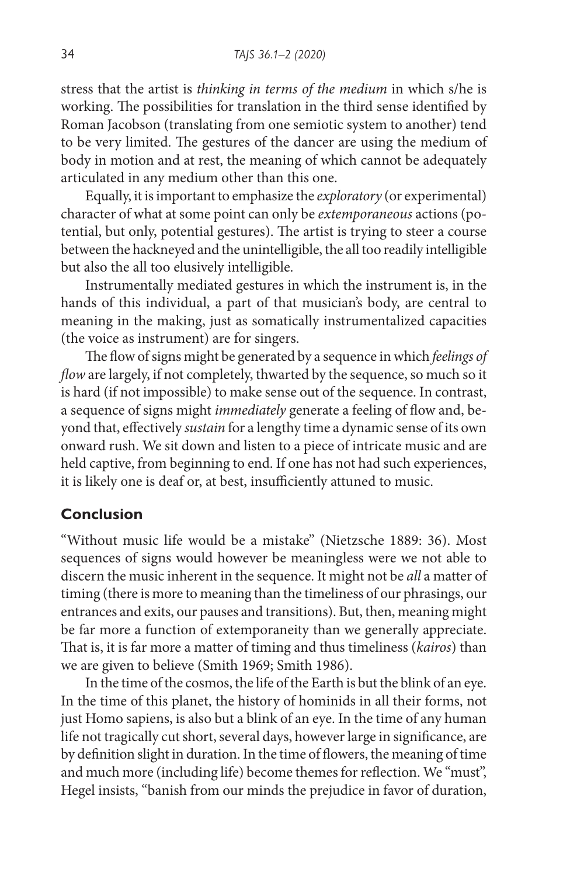stress that the artist is *thinking in terms of the medium* in which s/he is working. The possibilities for translation in the third sense identified by Roman Jacobson (translating from one semiotic system to another) tend to be very limited. The gestures of the dancer are using the medium of body in motion and at rest, the meaning of which cannot be adequately articulated in any medium other than this one.

Equally, it is important to emphasize the *exploratory* (or experimental) character of what at some point can only be *extemporaneous* actions (potential, but only, potential gestures). The artist is trying to steer a course between the hackneyed and the unintelligible, the all too readily intelligible but also the all too elusively intelligible.

Instrumentally mediated gestures in which the instrument is, in the hands of this individual, a part of that musician's body, are central to meaning in the making, just as somatically instrumentalized capacities (the voice as instrument) are for singers.

The flow of signs might be generated by a sequence in which *feelings of flow* are largely, if not completely, thwarted by the sequence, so much so it is hard (if not impossible) to make sense out of the sequence. In contrast, a sequence of signs might *immediately* generate a feeling of flow and, beyond that, effectively *sustain* for a lengthy time a dynamic sense of its own onward rush. We sit down and listen to a piece of intricate music and are held captive, from beginning to end. If one has not had such experiences, it is likely one is deaf or, at best, insufficiently attuned to music.

# **Conclusion**

"Without music life would be a mistake" (Nietzsche 1889: 36). Most sequences of signs would however be meaningless were we not able to discern the music inherent in the sequence. It might not be *all* a matter of timing (there is more to meaning than the timeliness of our phrasings, our entrances and exits, our pauses and transitions). But, then, meaning might be far more a function of extemporaneity than we generally appreciate. That is, it is far more a matter of timing and thus timeliness (*kairos*) than we are given to believe (Smith 1969; Smith 1986).

In the time of the cosmos, the life of the Earth is but the blink of an eye. In the time of this planet, the history of hominids in all their forms, not just Homo sapiens, is also but a blink of an eye. In the time of any human life not tragically cut short, several days, however large in significance, are by definition slight in duration. In the time of flowers, the meaning of time and much more (including life) become themes for reflection. We "must", Hegel insists, "banish from our minds the prejudice in favor of duration,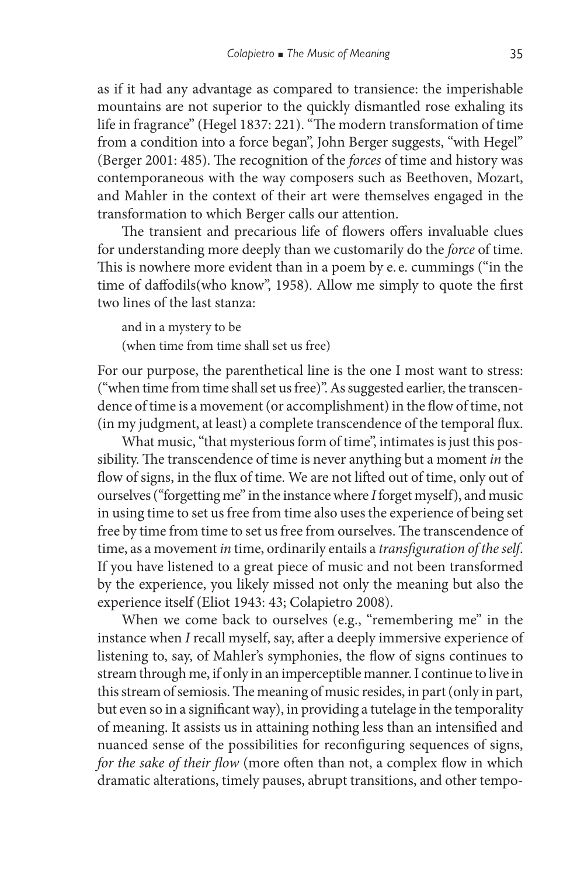as if it had any advantage as compared to transience: the imperishable mountains are not superior to the quickly dismantled rose exhaling its life in fragrance" (Hegel 1837: 221). "The modern transformation of time from a condition into a force began", John Berger suggests, "with Hegel" (Berger 2001: 485). The recognition of the *forces* of time and history was contemporaneous with the way composers such as Beethoven, Mozart, and Mahler in the context of their art were themselves engaged in the transformation to which Berger calls our attention.

The transient and precarious life of flowers offers invaluable clues for understanding more deeply than we customarily do the *force* of time. This is nowhere more evident than in a poem by e. e. cummings ("in the time of daffodils(who know", 1958). Allow me simply to quote the first two lines of the last stanza:

and in a mystery to be (when time from time shall set us free)

For our purpose, the parenthetical line is the one I most want to stress: ("when time from time shall set us free)". As suggested earlier, the transcendence of time is a movement (or accomplishment) in the flow of time, not (in my judgment, at least) a complete transcendence of the temporal flux.

What music, "that mysterious form of time", intimates is just this possibility. The transcendence of time is never anything but a moment *in* the flow of signs, in the flux of time. We are not lifted out of time, only out of ourselves ("forgetting me" in the instance where *I* forget myself), and music in using time to set us free from time also uses the experience of being set free by time from time to set us free from ourselves. The transcendence of time, as a movement *in* time, ordinarily entails a *transfiguration of the self*. If you have listened to a great piece of music and not been transformed by the experience, you likely missed not only the meaning but also the experience itself (Eliot 1943: 43; Colapietro 2008).

When we come back to ourselves (e.g., "remembering me" in the instance when *I* recall myself, say, after a deeply immersive experience of listening to, say, of Mahler's symphonies, the flow of signs continues to stream through me, if only in an imperceptible manner. I continue to live in this stream of semiosis. The meaning of music resides, in part (only in part, but even so in a significant way), in providing a tutelage in the temporality of meaning. It assists us in attaining nothing less than an intensified and nuanced sense of the possibilities for reconfiguring sequences of signs, *for the sake of their flow* (more often than not, a complex flow in which dramatic alterations, timely pauses, abrupt transitions, and other tempo-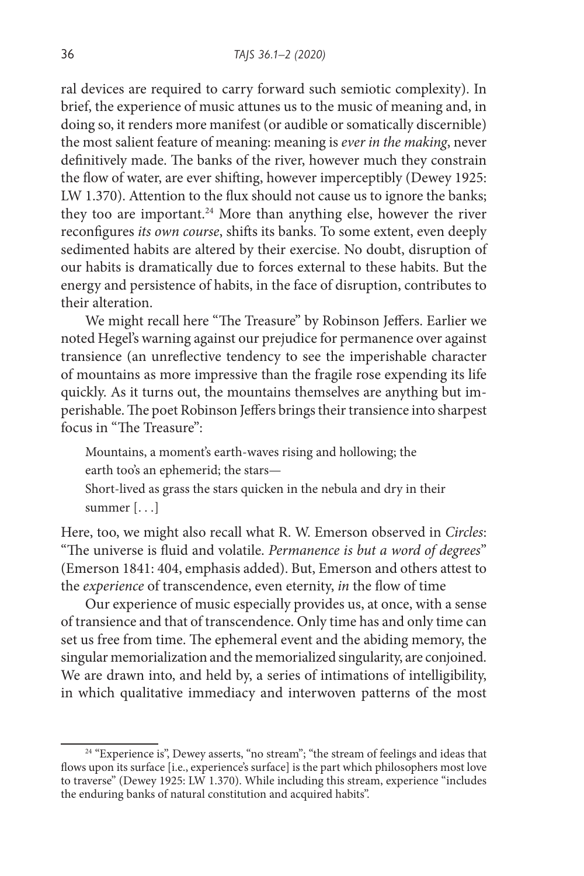ral devices are required to carry forward such semiotic complexity). In brief, the experience of music attunes us to the music of meaning and, in doing so, it renders more manifest (or audible or somatically discernible) the most salient feature of meaning: meaning is *ever in the making*, never definitively made. The banks of the river, however much they constrain the flow of water, are ever shifting, however imperceptibly (Dewey 1925: LW 1.370). Attention to the flux should not cause us to ignore the banks; they too are important.<sup>24</sup> More than anything else, however the river reconfigures *its own course*, shifts its banks. To some extent, even deeply sedimented habits are altered by their exercise. No doubt, disruption of our habits is dramatically due to forces external to these habits. But the energy and persistence of habits, in the face of disruption, contributes to their alteration.

We might recall here "The Treasure" by Robinson Jeffers. Earlier we noted Hegel's warning against our prejudice for permanence over against transience (an unreflective tendency to see the imperishable character of mountains as more impressive than the fragile rose expending its life quickly. As it turns out, the mountains themselves are anything but imperishable. The poet Robinson Jeffers brings their transience into sharpest focus in "The Treasure":

Mountains, a moment's earth-waves rising and hollowing; the earth too's an ephemerid; the stars—

Short-lived as grass the stars quicken in the nebula and dry in their summer [. . .]

Here, too, we might also recall what R. W. Emerson observed in *Circles*: "The universe is fluid and volatile. *Permanence is but a word of degrees*" (Emerson 1841: 404, emphasis added). But, Emerson and others attest to the *experience* of transcendence, even eternity, *in* the flow of time

Our experience of music especially provides us, at once, with a sense of transience and that of transcendence. Only time has and only time can set us free from time. The ephemeral event and the abiding memory, the singular memorialization and the memorialized singularity, are conjoined. We are drawn into, and held by, a series of intimations of intelligibility, in which qualitative immediacy and interwoven patterns of the most

<sup>&</sup>lt;sup>24</sup> "Experience is", Dewey asserts, "no stream"; "the stream of feelings and ideas that flows upon its surface [i.e., experience's surface] is the part which philosophers most love to traverse" (Dewey 1925: LW 1.370). While including this stream, experience "includes the enduring banks of natural constitution and acquired habits".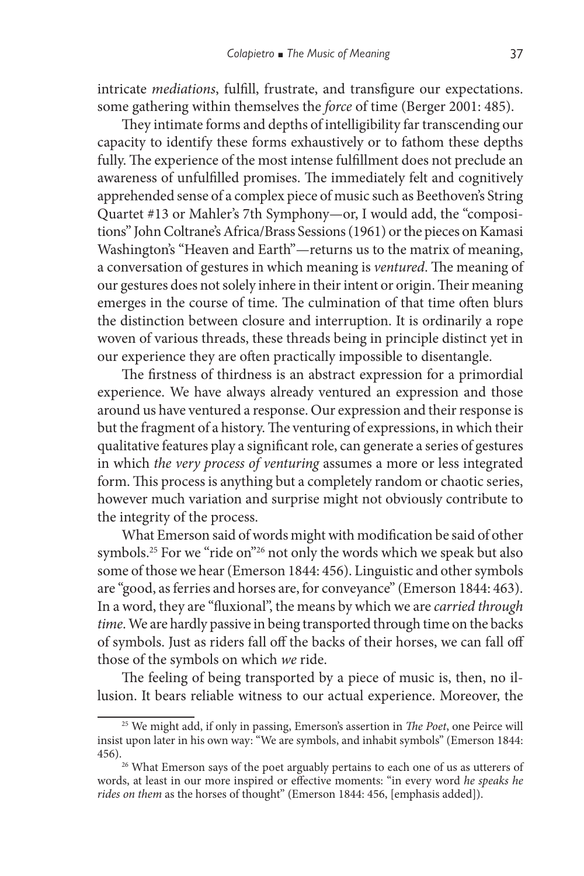intricate *mediations*, fulfill, frustrate, and transfigure our expectations. some gathering within themselves the *force* of time (Berger 2001: 485).

They intimate forms and depths of intelligibility far transcending our capacity to identify these forms exhaustively or to fathom these depths fully. The experience of the most intense fulfillment does not preclude an awareness of unfulfilled promises. The immediately felt and cognitively apprehended sense of a complex piece of music such as Beethoven's String Quartet #13 or Mahler's 7th Symphony—or, I would add, the "compositions" John Coltrane's Africa/Brass Sessions (1961) or the pieces on Kamasi Washington's "Heaven and Earth"—returns us to the matrix of meaning, a conversation of gestures in which meaning is *ventured*. The meaning of our gestures does not solely inhere in their intent or origin. Their meaning emerges in the course of time. The culmination of that time often blurs the distinction between closure and interruption. It is ordinarily a rope woven of various threads, these threads being in principle distinct yet in our experience they are often practically impossible to disentangle.

The firstness of thirdness is an abstract expression for a primordial experience. We have always already ventured an expression and those around us have ventured a response. Our expression and their response is but the fragment of a history. The venturing of expressions, in which their qualitative features play a significant role, can generate a series of gestures in which *the very process of venturing* assumes a more or less integrated form. This process is anything but a completely random or chaotic series, however much variation and surprise might not obviously contribute to the integrity of the process.

What Emerson said of words might with modification be said of other symbols.<sup>25</sup> For we "ride on"<sup>26</sup> not only the words which we speak but also some of those we hear (Emerson 1844: 456). Linguistic and other symbols are "good, as ferries and horses are, for conveyance" (Emerson 1844: 463). In a word, they are "fluxional", the means by which we are *carried through time*. We are hardly passive in being transported through time on the backs of symbols. Just as riders fall off the backs of their horses, we can fall off those of the symbols on which *we* ride.

The feeling of being transported by a piece of music is, then, no illusion. It bears reliable witness to our actual experience. Moreover, the

<sup>25</sup> We might add, if only in passing, Emerson's assertion in *The Poet*, one Peirce will insist upon later in his own way: "We are symbols, and inhabit symbols" (Emerson 1844:

<sup>&</sup>lt;sup>26</sup> What Emerson says of the poet arguably pertains to each one of us as utterers of words, at least in our more inspired or effective moments: "in every word *he speaks he rides on them* as the horses of thought" (Emerson 1844: 456, [emphasis added]).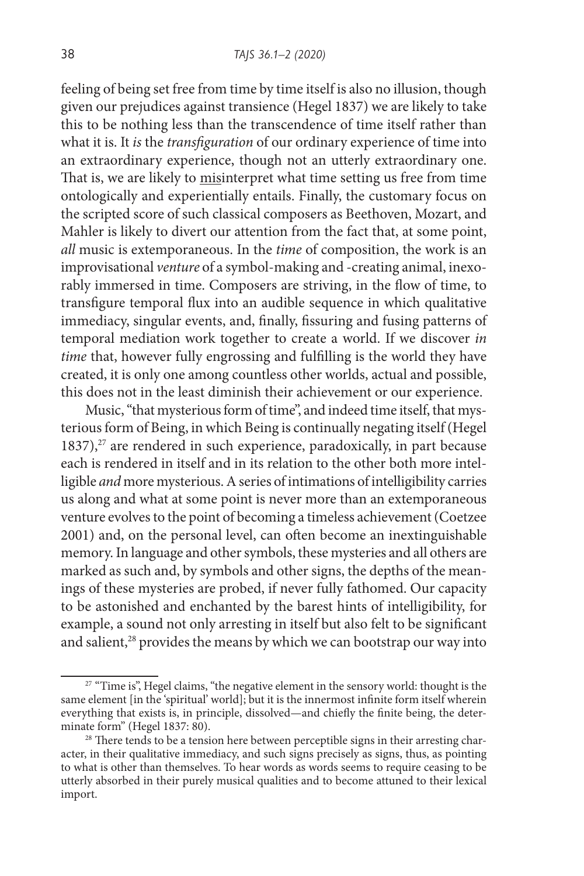feeling of being set free from time by time itself is also no illusion, though given our prejudices against transience (Hegel 1837) we are likely to take this to be nothing less than the transcendence of time itself rather than what it is. It *is* the *transfiguration* of our ordinary experience of time into an extraordinary experience, though not an utterly extraordinary one. That is, we are likely to misinterpret what time setting us free from time ontologically and experientially entails. Finally, the customary focus on the scripted score of such classical composers as Beethoven, Mozart, and Mahler is likely to divert our attention from the fact that, at some point, *all* music is extemporaneous. In the *time* of composition, the work is an improvisational *venture* of a symbol-making and -creating animal, inexorably immersed in time. Composers are striving, in the flow of time, to transfigure temporal flux into an audible sequence in which qualitative immediacy, singular events, and, finally, fissuring and fusing patterns of temporal mediation work together to create a world. If we discover *in time* that, however fully engrossing and fulfilling is the world they have created, it is only one among countless other worlds, actual and possible, this does not in the least diminish their achievement or our experience.

Music, "that mysterious form of time", and indeed time itself, that mysterious form of Being, in which Being is continually negating itself (Hegel  $1837$ ,<sup>27</sup> are rendered in such experience, paradoxically, in part because each is rendered in itself and in its relation to the other both more intelligible *and* more mysterious. A series of intimations of intelligibility carries us along and what at some point is never more than an extemporaneous venture evolves to the point of becoming a timeless achievement (Coetzee 2001) and, on the personal level, can often become an inextinguishable memory. In language and other symbols, these mysteries and all others are marked as such and, by symbols and other signs, the depths of the meanings of these mysteries are probed, if never fully fathomed. Our capacity to be astonished and enchanted by the barest hints of intelligibility, for example, a sound not only arresting in itself but also felt to be significant and salient,<sup>28</sup> provides the means by which we can bootstrap our way into

 $^{27}$  "Time is", Hegel claims, "the negative element in the sensory world: thought is the same element [in the 'spiritual' world]; but it is the innermost infinite form itself wherein everything that exists is, in principle, dissolved—and chiefly the finite being, the determinate form" (Hegel 1837: 80).

 $28$  There tends to be a tension here between perceptible signs in their arresting character, in their qualitative immediacy, and such signs precisely as signs, thus, as pointing to what is other than themselves. To hear words as words seems to require ceasing to be utterly absorbed in their purely musical qualities and to become attuned to their lexical import.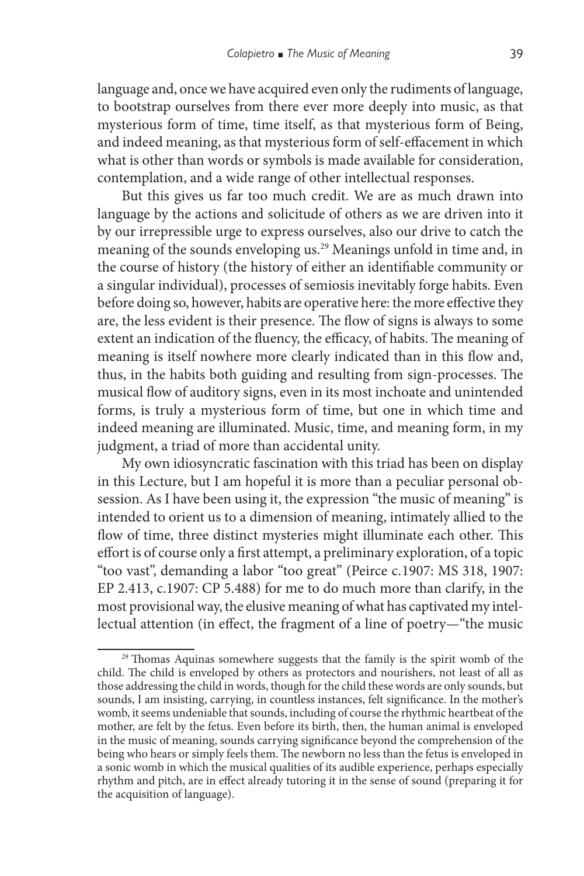language and, once we have acquired even only the rudiments of language, to bootstrap ourselves from there ever more deeply into music, as that mysterious form of time, time itself, as that mysterious form of Being, and indeed meaning, as that mysterious form of self-effacement in which what is other than words or symbols is made available for consideration, contemplation, and a wide range of other intellectual responses.

But this gives us far too much credit. We are as much drawn into language by the actions and solicitude of others as we are driven into it by our irrepressible urge to express ourselves, also our drive to catch the meaning of the sounds enveloping us.29 Meanings unfold in time and, in the course of history (the history of either an identifiable community or a singular individual), processes of semiosis inevitably forge habits. Even before doing so, however, habits are operative here: the more effective they are, the less evident is their presence. The flow of signs is always to some extent an indication of the fluency, the efficacy, of habits. The meaning of meaning is itself nowhere more clearly indicated than in this flow and, thus, in the habits both guiding and resulting from sign-processes. The musical flow of auditory signs, even in its most inchoate and unintended forms, is truly a mysterious form of time, but one in which time and indeed meaning are illuminated. Music, time, and meaning form, in my judgment, a triad of more than accidental unity.

My own idiosyncratic fascination with this triad has been on display in this Lecture, but I am hopeful it is more than a peculiar personal obsession. As I have been using it, the expression "the music of meaning" is intended to orient us to a dimension of meaning, intimately allied to the flow of time, three distinct mysteries might illuminate each other. This effort is of course only a first attempt, a preliminary exploration, of a topic "too vast", demanding a labor "too great" (Peirce c.1907: MS 318, 1907: EP 2.413, c.1907: CP 5.488) for me to do much more than clarify, in the most provisional way, the elusive meaning of what has captivated my intellectual attention (in effect, the fragment of a line of poetry—"the music

 $29$  Thomas Aquinas somewhere suggests that the family is the spirit womb of the child. The child is enveloped by others as protectors and nourishers, not least of all as those addressing the child in words, though for the child these words are only sounds, but sounds, I am insisting, carrying, in countless instances, felt significance. In the mother's womb, it seems undeniable that sounds, including of course the rhythmic heartbeat of the mother, are felt by the fetus. Even before its birth, then, the human animal is enveloped in the music of meaning, sounds carrying significance beyond the comprehension of the being who hears or simply feels them. The newborn no less than the fetus is enveloped in a sonic womb in which the musical qualities of its audible experience, perhaps especially rhythm and pitch, are in effect already tutoring it in the sense of sound (preparing it for the acquisition of language).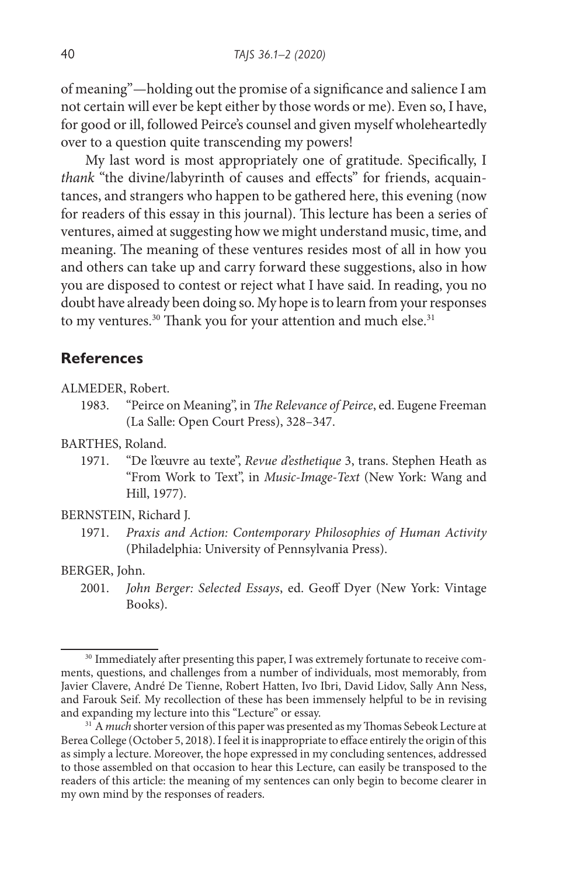of meaning"—holding out the promise of a significance and salience I am not certain will ever be kept either by those words or me). Even so, I have, for good or ill, followed Peirce's counsel and given myself wholeheartedly over to a question quite transcending my powers!

My last word is most appropriately one of gratitude. Specifically, I *thank* "the divine/labyrinth of causes and effects" for friends, acquaintances, and strangers who happen to be gathered here, this evening (now for readers of this essay in this journal). This lecture has been a series of ventures, aimed at suggesting how we might understand music, time, and meaning. The meaning of these ventures resides most of all in how you and others can take up and carry forward these suggestions, also in how you are disposed to contest or reject what I have said. In reading, you no doubt have already been doing so. My hope is to learn from your responses to my ventures.<sup>30</sup> Thank you for your attention and much else.<sup>31</sup>

# **References**

ALMEDER, Robert.

1983. "Peirce on Meaning", in *The Relevance of Peirce*, ed. Eugene Freeman (La Salle: Open Court Press), 328–347.

BARTHES, Roland.

1971. "De l'œuvre au texte", *Revue d'esthetique* 3, trans. Stephen Heath as "From Work to Text", in *Music-Image-Text* (New York: Wang and Hill, 1977).

#### BERNSTEIN, Richard J.

1971. *Praxis and Action: Contemporary Philosophies of Human Activity* (Philadelphia: University of Pennsylvania Press).

#### BERGER, John.

2001. *John Berger: Selected Essays*, ed. Geoff Dyer (New York: Vintage Books).

<sup>&</sup>lt;sup>30</sup> Immediately after presenting this paper, I was extremely fortunate to receive comments, questions, and challenges from a number of individuals, most memorably, from Javier Clavere, André De Tienne, Robert Hatten, Ivo Ibri, David Lidov, Sally Ann Ness, and Farouk Seif. My recollection of these has been immensely helpful to be in revising and expanding my lecture into this "Lecture" or essay.

<sup>&</sup>lt;sup>31</sup> A *much* shorter version of this paper was presented as my Thomas Sebeok Lecture at Berea College (October 5, 2018). I feel it is inappropriate to efface entirely the origin of this as simply a lecture. Moreover, the hope expressed in my concluding sentences, addressed to those assembled on that occasion to hear this Lecture, can easily be transposed to the readers of this article: the meaning of my sentences can only begin to become clearer in my own mind by the responses of readers.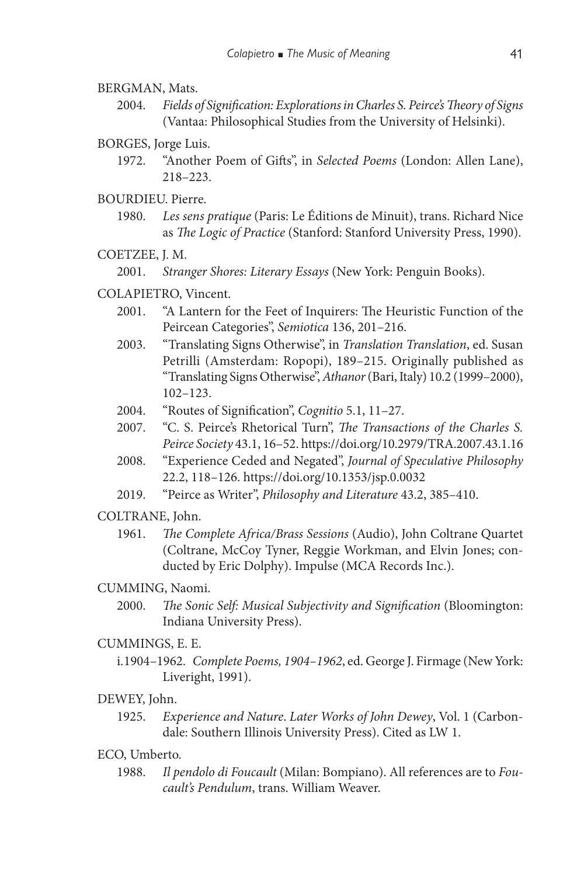#### BERGMAN, Mats.

2004. *Fields of Signification: Explorations in Charles S. Peirce's Theory of Signs* (Vantaa: Philosophical Studies from the University of Helsinki).

# BORGES, Jorge Luis.

1972. "Another Poem of Gifts", in *Selected Poems* (London: Allen Lane), 218–223.

### BOURDIEU. Pierre.

1980. *Les sens pratique* (Paris: Le Éditions de Minuit), trans. Richard Nice as *The Logic of Practice* (Stanford: Stanford University Press, 1990).

#### COETZEE, J. M.

2001. *Stranger Shores: Literary Essays* (New York: Penguin Books).

#### COLAPIETRO, Vincent.

- 2001. "A Lantern for the Feet of Inquirers: The Heuristic Function of the Peircean Categories", *Semiotica* 136, 201–216.
- 2003. "Translating Signs Otherwise", in *Translation Translation*, ed. Susan Petrilli (Amsterdam: Ropopi), 189–215. Originally published as "Translating Signs Otherwise", *Athanor* (Bari, Italy) 10.2 (1999–2000), 102–123.
- 2004. "Routes of Signification", *Cognitio* 5.1, 11–27.
- 2007. "C. S. Peirce's Rhetorical Turn", *The Transactions of the Charles S. Peirce Society* 43.1, 16–52. https://doi.org/10.2979/TRA.2007.43.1.16
- 2008. "Experience Ceded and Negated", *Journal of Speculative Philosophy* 22.2, 118–126. https://doi.org/10.1353/jsp.0.0032
- 2019. "Peirce as Writer", *Philosophy and Literature* 43.2, 385–410.

## COLTRANE, John.

1961. *The Complete Africa/Brass Sessions* (Audio), John Coltrane Quartet (Coltrane, McCoy Tyner, Reggie Workman, and Elvin Jones; conducted by Eric Dolphy). Impulse (MCA Records Inc.).

#### CUMMING, Naomi.

2000. *The Sonic Self: Musical Subjectivity and Signification* (Bloomington: Indiana University Press).

#### CUMMINGS, E. E.

i.1904–1962. *Complete Poems, 1904–1962*, ed. George J. Firmage (New York: Liveright, 1991).

## DEWEY, John.

1925. *Experience and Nature*. *Later Works of John Dewey*, Vol. 1 (Carbondale: Southern Illinois University Press). Cited as LW 1.

# ECO, Umberto.

1988. *Il pendolo di Foucault* (Milan: Bompiano). All references are to *Foucault's Pendulum*, trans. William Weaver.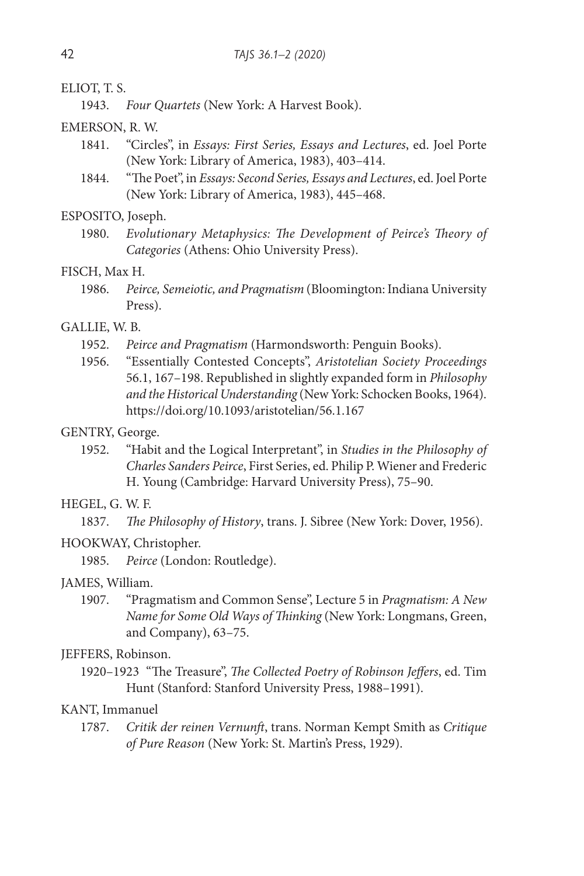#### ELIOT, T. S.

1943. *Four Quartets* (New York: A Harvest Book).

#### EMERSON, R. W.

- 1841. "Circles", in *Essays: First Series, Essays and Lectures*, ed. Joel Porte (New York: Library of America, 1983), 403–414.
- 1844. "The Poet", in *Essays: Second Series, Essays and Lectures*, ed. Joel Porte (New York: Library of America, 1983), 445–468.

## ESPOSITO, Joseph.

1980. *Evolutionary Metaphysics: The Development of Peirce's Theory of Categories* (Athens: Ohio University Press).

#### FISCH, Max H.

1986. *Peirce, Semeiotic, and Pragmatism* (Bloomington: Indiana University Press).

## GALLIE, W. B.

- 1952. *Peirce and Pragmatism* (Harmondsworth: Penguin Books).
- 1956. "Essentially Contested Concepts", *Aristotelian Society Proceedings* 56.1, 167–198. Republished in slightly expanded form in *Philosophy and the Historical Understanding* (New York: Schocken Books, 1964). https://doi.org/10.1093/aristotelian/56.1.167

## GENTRY, George.

1952. "Habit and the Logical Interpretant", in *Studies in the Philosophy of Charles Sanders Peirce*, First Series, ed. Philip P. Wiener and Frederic H. Young (Cambridge: Harvard University Press), 75–90.

#### HEGEL, G. W. F.

1837. *The Philosophy of History*, trans. J. Sibree (New York: Dover, 1956).

## HOOKWAY, Christopher.

1985. *Peirce* (London: Routledge).

#### JAMES, William.

1907. "Pragmatism and Common Sense", Lecture 5 in *Pragmatism: A New Name for Some Old Ways of Thinking* (New York: Longmans, Green, and Company), 63–75.

## JEFFERS, Robinson.

1920–1923 "The Treasure", *The Collected Poetry of Robinson Jeffers*, ed. Tim Hunt (Stanford: Stanford University Press, 1988–1991).

# KANT, Immanuel

1787. *Critik der reinen Vernunft*, trans. Norman Kempt Smith as *Critique of Pure Reason* (New York: St. Martin's Press, 1929).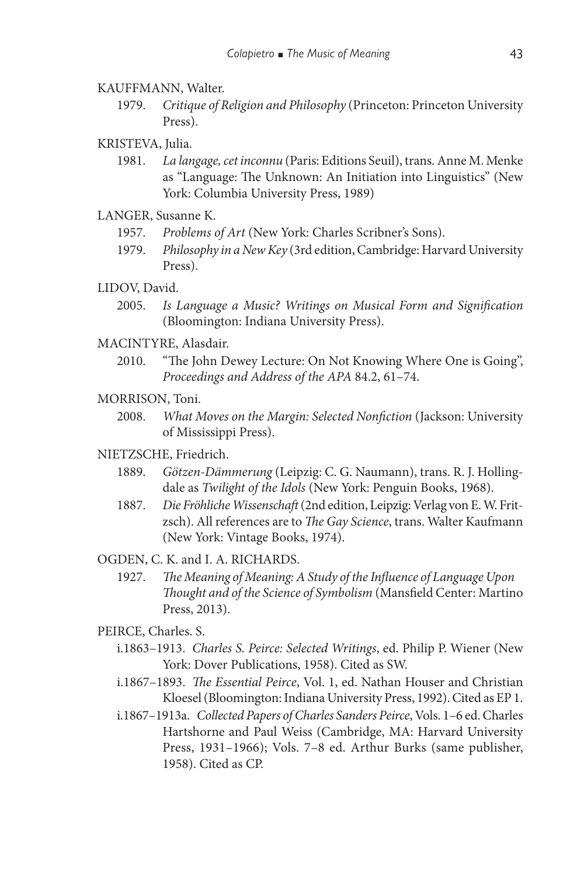#### KAUFFMANN, Walter.

1979. *Critique of Religion and Philosophy* (Princeton: Princeton University Press).

## KRISTEVA, Julia.

1981. *La langage, cet inconnu* (Paris: Editions Seuil), trans. Anne M. Menke as "Language: The Unknown: An Initiation into Linguistics" (New York: Columbia University Press, 1989)

#### LANGER, Susanne K.

- 1957. *Problems of Art* (New York: Charles Scribner's Sons).
- 1979. *Philosophy in a New Key* (3rd edition, Cambridge: Harvard University Press).

#### LIDOV, David.

2005. *Is Language a Music? Writings on Musical Form and Signification*  (Bloomington: Indiana University Press).

#### MACINTYRE, Alasdair.

2010. "The John Dewey Lecture: On Not Knowing Where One is Going", *Proceedings and Address of the APA* 84.2, 61–74.

## MORRISON, Toni.

2008. *What Moves on the Margin: Selected Nonfiction* (Jackson: University of Mississippi Press).

#### NIETZSCHE, Friedrich.

- 1889. *Götzen-Dämmerung* (Leipzig: C. G. Naumann), trans. R. J. Hollingdale as *Twilight of the Idols* (New York: Penguin Books, 1968).
- 1887. *Die Fröhliche Wissenschaft* (2nd edition, Leipzig: Verlag von E. W. Fritzsch). All references are to *The Gay Science*, trans. Walter Kaufmann (New York: Vintage Books, 1974).

#### OGDEN, C. K. and I. A. RICHARDS.

1927. *The Meaning of Meaning: A Study of the Influence of Language Upon Thought and of the Science of Symbolism* (Mansfield Center: Martino Press, 2013).

#### PEIRCE, Charles. S.

- i.1863–1913. *Charles S. Peirce: Selected Writings*, ed. Philip P. Wiener (New York: Dover Publications, 1958). Cited as SW.
- i.1867–1893. *The Essential Peirce*, Vol. 1, ed. Nathan Houser and Christian Kloesel (Bloomington: Indiana University Press, 1992). Cited as EP 1.
- i.1867–1913a. *Collected Papers of Charles Sanders Peirce*, Vols. 1–6 ed. Charles Hartshorne and Paul Weiss (Cambridge, MA: Harvard University Press, 1931–1966); Vols. 7–8 ed. Arthur Burks (same publisher, 1958). Cited as CP.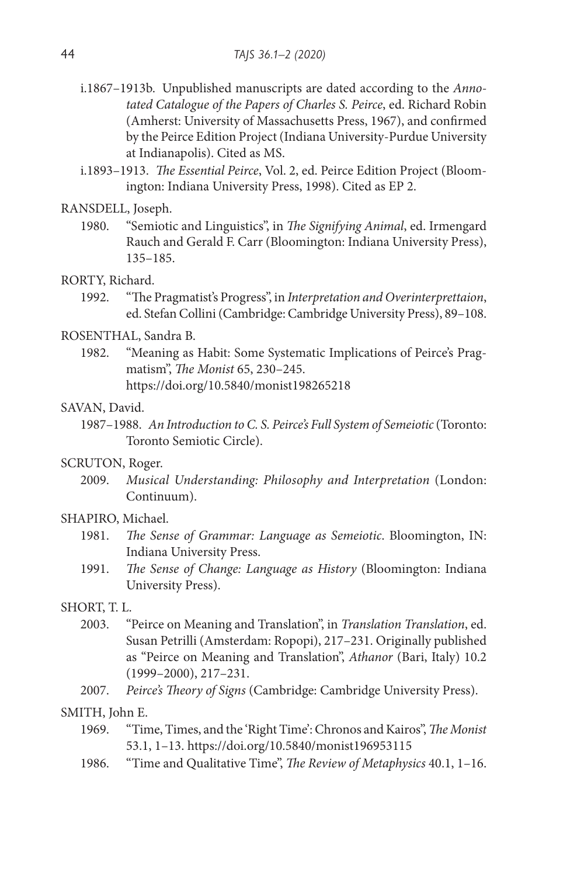- i.1867–1913b. Unpublished manuscripts are dated according to the *Annotated Catalogue of the Papers of Charles S. Peirce*, ed. Richard Robin (Amherst: University of Massachusetts Press, 1967), and confirmed by the Peirce Edition Project (Indiana University-Purdue University at Indianapolis). Cited as MS.
- i.1893–1913. *The Essential Peirce*, Vol. 2, ed. Peirce Edition Project (Bloomington: Indiana University Press, 1998). Cited as EP 2.

#### RANSDELL, Joseph.

1980. "Semiotic and Linguistics", in *The Signifying Animal*, ed. Irmengard Rauch and Gerald F. Carr (Bloomington: Indiana University Press), 135–185.

#### RORTY, Richard.

1992. "The Pragmatist's Progress", in *Interpretation and Overinterprettaion*, ed. Stefan Collini (Cambridge: Cambridge University Press), 89–108.

#### ROSENTHAL, Sandra B.

1982. "Meaning as Habit: Some Systematic Implications of Peirce's Pragmatism", *The Monist* 65, 230–245. https://doi.org/10.5840/monist198265218

## SAVAN, David.

1987–1988. *An Introduction to C. S. Peirce's Full System of Semeiotic* (Toronto: Toronto Semiotic Circle).

#### SCRUTON, Roger.

2009. *Musical Understanding: Philosophy and Interpretation* (London: Continuum).

## SHAPIRO, Michael.

- 1981. *The Sense of Grammar: Language as Semeiotic*. Bloomington, IN: Indiana University Press.
- 1991. *The Sense of Change: Language as History* (Bloomington: Indiana University Press).

#### SHORT, T. L.

- 2003. "Peirce on Meaning and Translation", in *Translation Translation*, ed. Susan Petrilli (Amsterdam: Ropopi), 217–231. Originally published as "Peirce on Meaning and Translation", *Athanor* (Bari, Italy) 10.2 (1999–2000), 217–231.
- 2007. *Peirce's Theory of Signs* (Cambridge: Cambridge University Press).

#### SMITH, John E.

- 1969. "Time, Times, and the 'Right Time': Chronos and Kairos", *The Monist* 53.1, 1–13. https://doi.org/10.5840/monist196953115
- 1986. "Time and Qualitative Time", *The Review of Metaphysics* 40.1, 1–16.